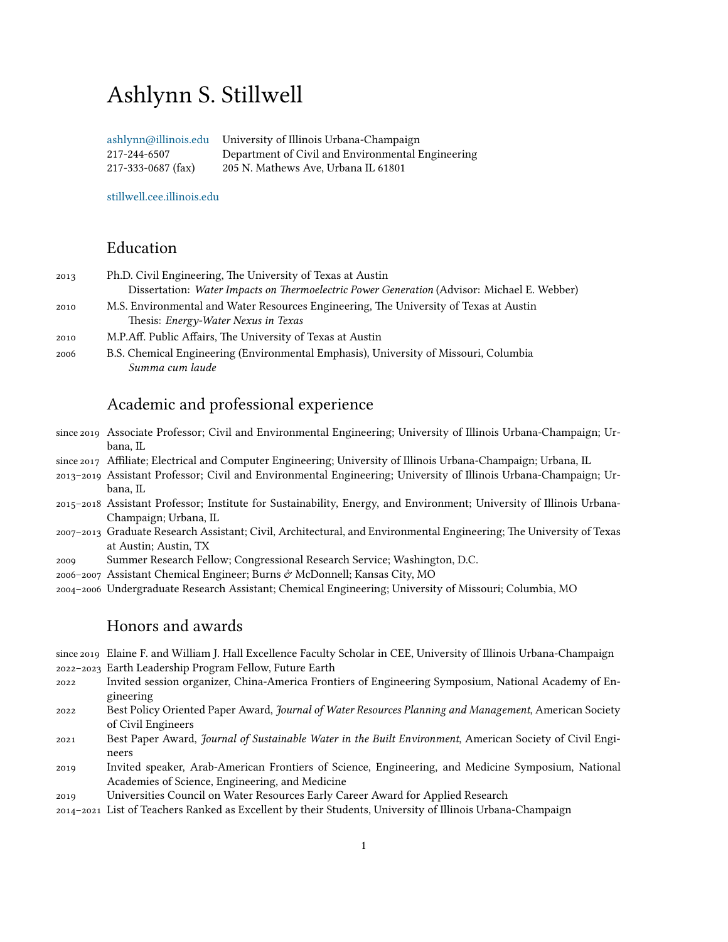# Ashlynn S. Stillwell

[ashlynn@illinois.edu](mailto:ashlynn@illinois.edu) 217-244-6507 217-333-0687 (fax) University of Illinois Urbana-Champaign Department of Civil and Environmental Engineering 205 N. Mathews Ave, Urbana IL 61801

[stillwell.cee.illinois.edu](http://stillwell.cee.illinois.edu)

# Education

| 2013 | Ph.D. Civil Engineering, The University of Texas at Austin                                  |
|------|---------------------------------------------------------------------------------------------|
|      | Dissertation: Water Impacts on Thermoelectric Power Generation (Advisor: Michael E. Webber) |
| 2010 | M.S. Environmental and Water Resources Engineering, The University of Texas at Austin       |
|      | Thesis: Energy-Water Nexus in Texas                                                         |
|      | $\mathcal{M} \cap \mathcal{M} \cap \mathcal{M}$ . The $\mathcal{M}$ is the $\mathcal{M}$    |

- M.P.Aff. Public Affairs, The University of Texas at Austin
- B.S. Chemical Engineering (Environmental Emphasis), University of Missouri, Columbia *Summa cum laude*

# Academic and professional experience

- since 2019 Associate Professor; Civil and Environmental Engineering; University of Illinois Urbana-Champaign; Urbana, IL
- since 2017 Affiliate; Electrical and Computer Engineering; University of Illinois Urbana-Champaign; Urbana, IL
- Assistant Professor; Civil and Environmental Engineering; University of Illinois Urbana-Champaign; Urbana, IL
- Assistant Professor; Institute for Sustainability, Energy, and Environment; University of Illinois Urbana-Champaign; Urbana, IL
- Graduate Research Assistant; Civil, Architectural, and Environmental Engineering; The University of Texas at Austin; Austin, TX
- Summer Research Fellow; Congressional Research Service; Washington, D.C.
- 2006–2007 Assistant Chemical Engineer; Burns  $\mathcal O$  McDonnell; Kansas City, MO
- Undergraduate Research Assistant; Chemical Engineering; University of Missouri; Columbia, MO

# Honors and awards

since 2019 Elaine F. and William J. Hall Excellence Faculty Scholar in CEE, University of Illinois Urbana-Champaign – Earth Leadership Program Fellow, Future Earth

- Invited session organizer, China-America Frontiers of Engineering Symposium, National Academy of Engineering
- Best Policy Oriented Paper Award, *Journal of Water Resources Planning and Management*, American Society of Civil Engineers
- Best Paper Award, *Journal of Sustainable Water in the Built Environment*, American Society of Civil Engineers
- Invited speaker, Arab-American Frontiers of Science, Engineering, and Medicine Symposium, National Academies of Science, Engineering, and Medicine
- Universities Council on Water Resources Early Career Award for Applied Research

– List of Teachers Ranked as Excellent by their Students, University of Illinois Urbana-Champaign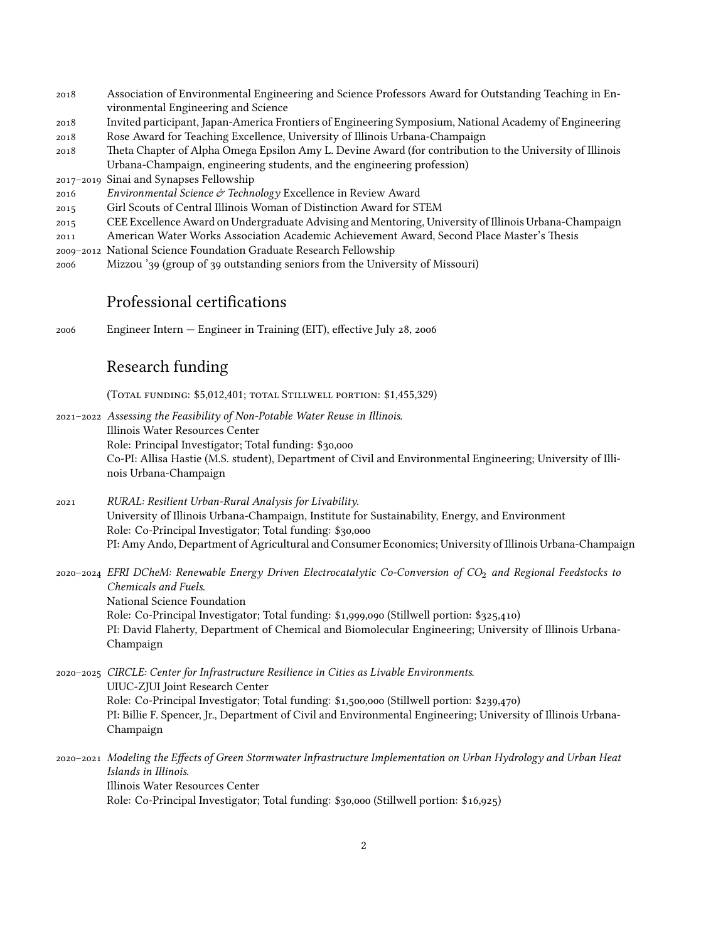- Association of Environmental Engineering and Science Professors Award for Outstanding Teaching in Environmental Engineering and Science
- Invited participant, Japan-America Frontiers of Engineering Symposium, National Academy of Engineering
- Rose Award for Teaching Excellence, University of Illinois Urbana-Champaign
- Theta Chapter of Alpha Omega Epsilon Amy L. Devine Award (for contribution to the University of Illinois Urbana-Champaign, engineering students, and the engineering profession)
- 2017-2019 Sinai and Synapses Fellowship
- *Environmental Science Technology* Excellence in Review Award
- Girl Scouts of Central Illinois Woman of Distinction Award for STEM
- CEE Excellence Award on Undergraduate Advising and Mentoring, University of Illinois Urbana-Champaign
- American Water Works Association Academic Achievement Award, Second Place Master's Thesis
- National Science Foundation Graduate Research Fellowship
- 2006 Mizzou '39 (group of 39 outstanding seniors from the University of Missouri)

# Professional certifications

 $2006$  Engineer Intern – Engineer in Training (EIT), effective July  $28$ ,  $2006$ 

# Research funding

(TOTAL FUNDING: \$5,012,401; TOTAL STILLWELL PORTION: \$1,455,329)

- *Assessing the Feasibility of Non-Potable Water Reuse in Illinois*. Illinois Water Resources Center Role: Principal Investigator; Total funding: \$30,000 Co-PI: Allisa Hastie (M.S. student), Department of Civil and Environmental Engineering; University of Illinois Urbana-Champaign
- *RURAL: Resilient Urban-Rural Analysis for Livability*. University of Illinois Urbana-Champaign, Institute for Sustainability, Energy, and Environment Role: Co-Principal Investigator; Total funding: \$30,000 PI: Amy Ando, Department of Agricultural and Consumer Economics; University of Illinois Urbana-Champaign
- *EFRI DCheM: Renewable Energy Driven Electrocatalytic Co-Conversion of CO*<sup>2</sup> *and Regional Feedstocks to Chemicals and Fuels*. National Science Foundation Role: Co-Principal Investigator; Total funding: \$1,999,090 (Stillwell portion: \$325,410) PI: David Flaherty, Department of Chemical and Biomolecular Engineering; University of Illinois Urbana-Champaign
- *CIRCLE: Center for Infrastructure Resilience in Cities as Livable Environments*. UIUC-ZJUI Joint Research Center Role: Co-Principal Investigator; Total funding: \$1,500,000 (Stillwell portion: \$239,470) PI: Billie F. Spencer, Jr., Department of Civil and Environmental Engineering; University of Illinois Urbana-Champaign
- *Modeling the Effects of Green Stormwater Infrastructure Implementation on Urban Hydrology and Urban Heat Islands in Illinois*. Illinois Water Resources Center Role: Co-Principal Investigator; Total funding:  $$30,000$  (Stillwell portion:  $$16,925$ )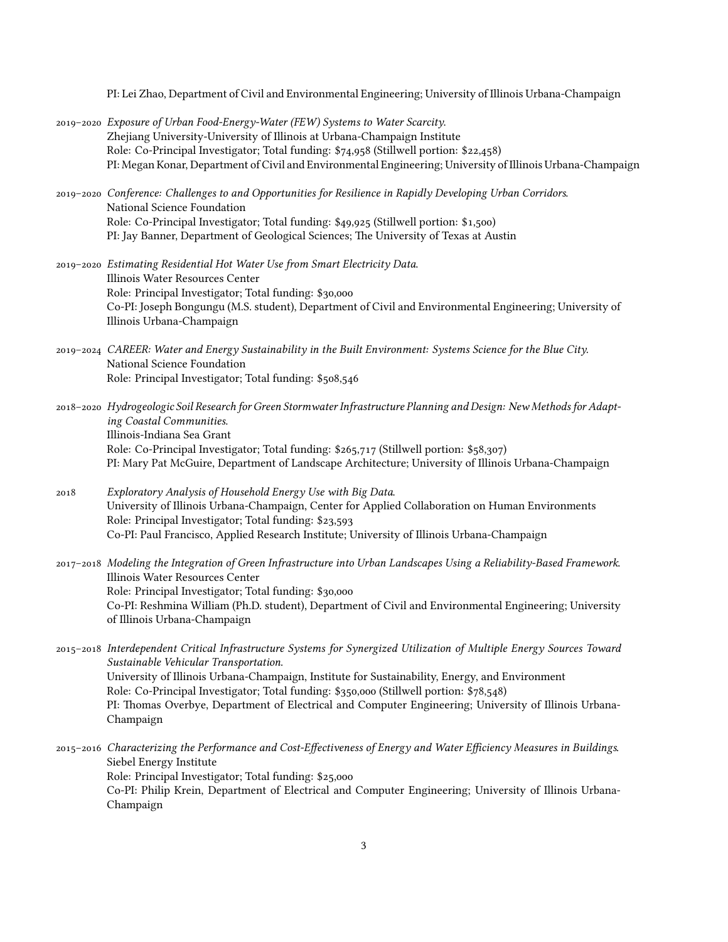PI: Lei Zhao, Department of Civil and Environmental Engineering; University of Illinois Urbana-Champaign

- *Exposure of Urban Food-Energy-Water (FEW) Systems to Water Scarcity*. Zhejiang University-University of Illinois at Urbana-Champaign Institute Role: Co-Principal Investigator; Total funding: \$74,958 (Stillwell portion: \$22,458) PI: Megan Konar, Department of Civil and Environmental Engineering; University of Illinois Urbana-Champaign
- *Conference: Challenges to and Opportunities for Resilience in Rapidly Developing Urban Corridors*. National Science Foundation Role: Co-Principal Investigator; Total funding: \$49,925 (Stillwell portion: \$1,500) PI: Jay Banner, Department of Geological Sciences; The University of Texas at Austin
- *Estimating Residential Hot Water Use from Smart Electricity Data*. Illinois Water Resources Center Role: Principal Investigator; Total funding: \$30,000 Co-PI: Joseph Bongungu (M.S. student), Department of Civil and Environmental Engineering; University of Illinois Urbana-Champaign
- *CAREER: Water and Energy Sustainability in the Built Environment: Systems Science for the Blue City*. National Science Foundation Role: Principal Investigator; Total funding: \$508,546
- *Hydrogeologic Soil Research for Green Stormwater Infrastructure Planning and Design: New Methods for Adapting Coastal Communities*. Illinois-Indiana Sea Grant Role: Co-Principal Investigator; Total funding: \$265,717 (Stillwell portion: \$58,307) PI: Mary Pat McGuire, Department of Landscape Architecture; University of Illinois Urbana-Champaign
- *Exploratory Analysis of Household Energy Use with Big Data*. University of Illinois Urbana-Champaign, Center for Applied Collaboration on Human Environments Role: Principal Investigator; Total funding: \$23,593 Co-PI: Paul Francisco, Applied Research Institute; University of Illinois Urbana-Champaign
- *Modeling the Integration of Green Infrastructure into Urban Landscapes Using a Reliability-Based Framework*. Illinois Water Resources Center Role: Principal Investigator; Total funding: \$30,000 Co-PI: Reshmina William (Ph.D. student), Department of Civil and Environmental Engineering; University of Illinois Urbana-Champaign
- *Interdependent Critical Infrastructure Systems for Synergized Utilization of Multiple Energy Sources Toward Sustainable Vehicular Transportation*. University of Illinois Urbana-Champaign, Institute for Sustainability, Energy, and Environment Role: Co-Principal Investigator; Total funding: \$350,000 (Stillwell portion: \$78,548) PI: Thomas Overbye, Department of Electrical and Computer Engineering; University of Illinois Urbana-Champaign
- *Characterizing the Performance and Cost-Effectiveness of Energy and Water Efficiency Measures in Buildings*. Siebel Energy Institute Role: Principal Investigator; Total funding: \$25,000 Co-PI: Philip Krein, Department of Electrical and Computer Engineering; University of Illinois Urbana-Champaign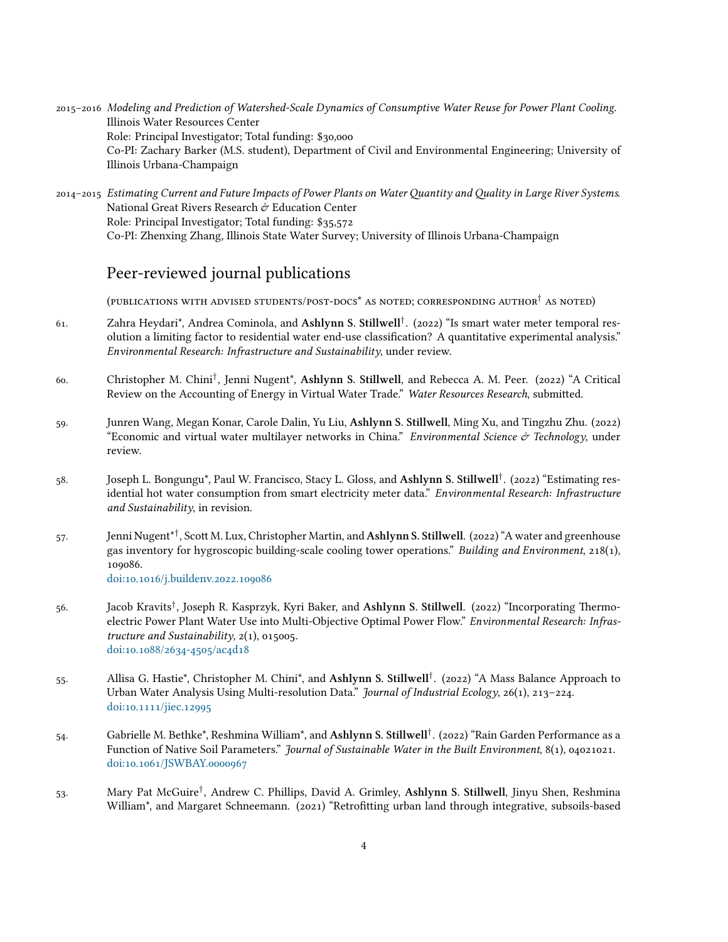- *Modeling and Prediction of Watershed-Scale Dynamics of Consumptive Water Reuse for Power Plant Cooling*. Illinois Water Resources Center Role: Principal Investigator; Total funding: \$30,000 Co-PI: Zachary Barker (M.S. student), Department of Civil and Environmental Engineering; University of Illinois Urbana-Champaign
- *Estimating Current and Future Impacts of Power Plants on Water antity and ality in Large River Systems*. National Great Rivers Research  $\mathcal O$  Education Center Role: Principal Investigator; Total funding: \$35,572 Co-PI: Zhenxing Zhang, Illinois State Water Survey; University of Illinois Urbana-Champaign

# Peer-reviewed journal publications

(PUBLICATIONS WITH ADVISED STUDENTS/POST-DOCS<sup>\*</sup> AS NOTED; CORRESPONDING AUTHOR<sup>†</sup> AS NOTED)

- 61. Zahra Heydari\*, Andrea Cominola, and **Ashlynn S. Stillwell**<sup>†</sup>. (2022) "Is smart water meter temporal resolution a limiting factor to residential water end-use classification? A quantitative experimental analysis." *Environmental Research: Infrastructure and Sustainability*, under review.
- 60. Christopher M. Chini<sup>†</sup>, Jenni Nugent\*, A**shlynn S. Stillwell**, and Rebecca A. M. Peer. (2022) "A Critical Review on the Accounting of Energy in Virtual Water Trade." *Water Resources Research*, submitted.
- 59. Junren Wang, Megan Konar, Carole Dalin, Yu Liu, Ashlynn S. Stillwell, Ming Xu, and Tingzhu Zhu. (2022) "Economic and virtual water multilayer networks in China." *Environmental Science Technology*, under review.
- 58. Joseph L. Bongungu\*, Paul W. Francisco, Stacy L. Gloss, and **Ashlynn S. Stillwell**<sup>†</sup>. (2022) "Estimating residential hot water consumption from smart electricity meter data." *Environmental Research: Infrastructure and Sustainability*, in revision.
- 57. Jenni Nugent\*†, Scott M. Lux, Christopher Martin, and **Ashlynn S. Stillwell**. (2022) "A water and greenhouse gas inventory for hygroscopic building-scale cooling tower operations." *Building and Environment*, 218(1), 109086. doi:10.1016/j.buildenv.2022.109086
- . Jacob Kravits*†* , Joseph R. Kasprzyk, Kyri Baker, and **Ashlynn S. Stillwell**. () "Incorporating Thermoelectric Power Plant Water Use into Multi-Objective Optimal Power Flow." *Environmental Research: Infras* $tructure$  and Sustainability,  $2(1)$ ,  $015005$ . doi:10.1088/2634-4505/ac4d18
- 55. Allisa G. Hastie\*, Christopher M. Chini\*, and **Ashlynn S. Stillwell**<sup>†</sup>. (2022) "A Mass Balance Approach to Urban Water Analysis Using Multi-resolution Data." *Journal of Industrial Ecology*, 26(1), 213-224. doi:10.1111/jiec.12995
- 54. Gabrielle M. Bethke\*, Reshmina William\*, and **Ashlynn S. Stillwell**<sup>†</sup>. (2022) "Rain Garden Performance as a Function of Native Soil Parameters." *Journal of Sustainable Water in the Built Environment*, 8(1), 04021021. doi:10.1061/JSWBAY.0000967
- . Mary Pat McGuire*†* , Andrew C. Phillips, David A. Grimley, **Ashlynn S. Stillwell**, Jinyu Shen, Reshmina William<sup>\*</sup>, and Margaret Schneemann. (2021) "Retrofitting urban land through integrative, subsoils-based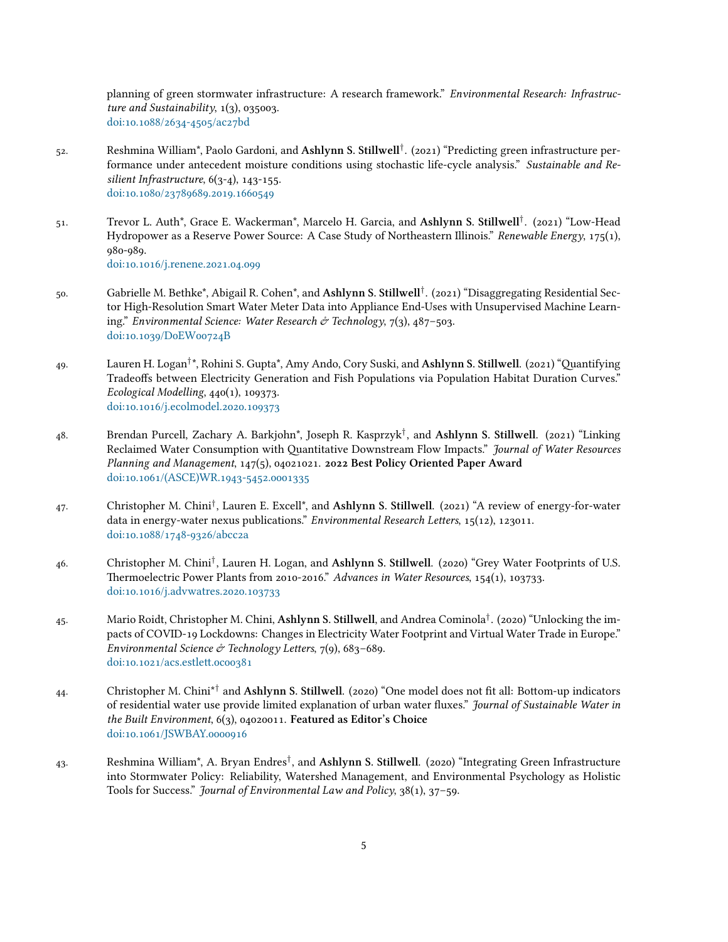planning of green stormwater infrastructure: A research framework." *Environmental Research: Infrastruc* $ture$  and Sustainability,  $1(3)$ ,  $035003$ . doi:10.1088/2634-4505/ac27bd

- 52. Reshmina William\*, Paolo Gardoni, and **Ashlynn S. Stillwell**<sup>†</sup>. (2021) "Predicting green infrastructure performance under antecedent moisture conditions using stochastic life-cycle analysis." *Sustainable and Re* $silient Infrastructure, 6(3-4), 143-155.$ doi:10.1080/23789689.2019.1660549
- 51. Trevor L. Auth\*, Grace E. Wackerman\*, Marcelo H. Garcia, and **Ashlynn S. Stillwell**<sup>†</sup>. (2021) "Low-Head Hydropower as a Reserve Power Source: A Case Study of Northeastern Illinois." *Renewable Energy*, 175(1), 980-989. doi:10.1016/j.renene.2021.04.099
- 50. Gabrielle M. Bethke\*, Abigail R. Cohen\*, and **Ashlynn S. Stillwell**<sup>†</sup>. (2021) "Disaggregating Residential Sector High-Resolution Smart Water Meter Data into Appliance End-Uses with Unsupervised Machine Learning." *Environmental Science: Water Research & Technology*, 7(3), 487-503. doi:10.1039/DoEW00724B
- 49. Lauren H. Logan<sup>†</sup>\*, Rohini S. Gupta\*, Amy Ando, Cory Suski, and **Ashlynn S. Stillwell**. (2021) "Quantifying Tradeoffs between Electricity Generation and Fish Populations via Population Habitat Duration Curves." *Ecological Modelling*, 440(1), 109373. doi:10.1016/j.ecolmodel.2020.109373
- . Brendan Purcell, Zachary A. Barkjohn\*, Joseph R. Kasprzyk*†* , and **Ashlynn S. Stillwell**. () "Linking Reclaimed Water Consumption with Quantitative Downstream Flow Impacts." *Journal of Water Resources* Planning and Management, 147(5), 04021021. 2022 Best Policy Oriented Paper Award doi:10.1061/(ASCE)WR.1943-5452.0001335
- 47. Christopher M. Chini<sup>†</sup>, Lauren E. Excell\*, and Ashlynn S. Stillwell. (2021) "A review of energy-for-water data in energy-water nexus publications." *Environmental Research Letters*, 15(12), 123011. doi:10.1088/1748-9326/abcc2a
- 46. Christopher M. Chini<sup>†</sup>, Lauren H. Logan, and **Ashlynn S. Stillwell**. (2020) "Grey Water Footprints of U.S. Thermoelectric Power Plants from 2010-2016." *Advances in Water Resources*, 154(1), 103733. doi:10.1016/j.advwatres.2020.103733
- . Mario Roidt, Christopher M. Chini, **Ashlynn S. Stillwell**, and Andrea Cominola*†* . () "Unlocking the impacts of COVID-19 Lockdowns: Changes in Electricity Water Footprint and Virtual Water Trade in Europe." *Environmental Science & Technology Letters, 7(9), 683-689.* doi:10.1021/acs.estlett.ocoo381
- 44. Christopher M. Chini<sup>\*†</sup> and **Ashlynn S. Stillwell**. (2020) "One model does not fit all: Bottom-up indicators of residential water use provide limited explanation of urban water fluxes." *Journal of Sustainable Water in the Built Environment*,  $6(3)$ , 04020011. Featured as Editor's Choice doi:10.1061/JSWBAY.0000916
- 43. Reshmina William\*, A. Bryan Endres<sup>†</sup>, and **Ashlynn S. Stillwell**. (2020) "Integrating Green Infrastructure into Stormwater Policy: Reliability, Watershed Management, and Environmental Psychology as Holistic Tools for Success." *Journal of Environmental Law and Policy*, 38(1), 37–59.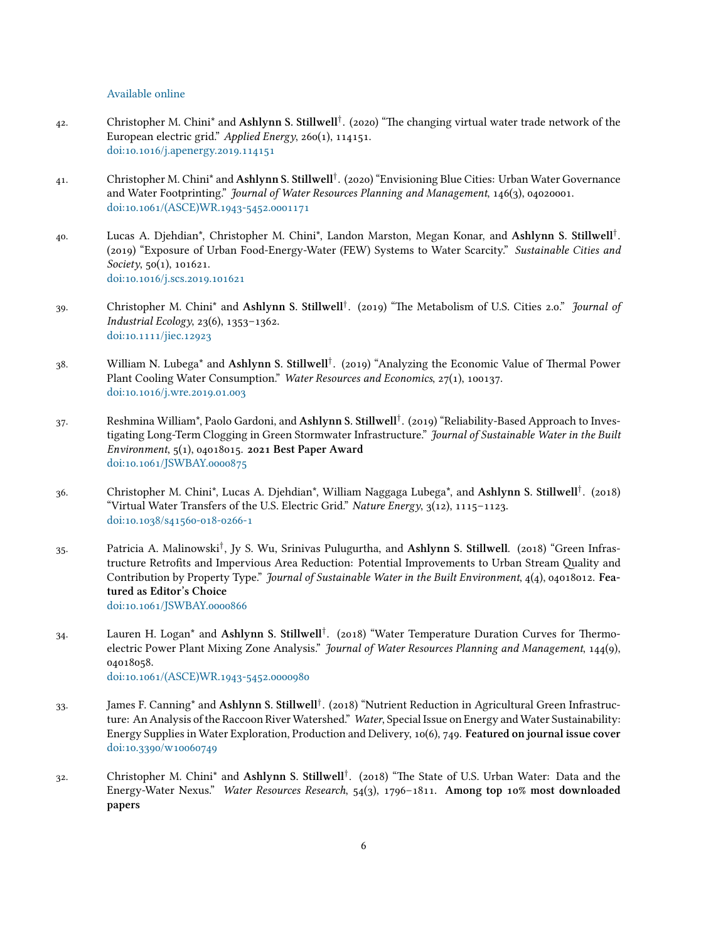[Available online](https://escholarship.org/uc/item/074396qn)

- . Christopher M. Chini\* and **Ashlynn S. Stillwell***†* . () "The changing virtual water trade network of the European electric grid." *Applied Energy*, 260(1), 114151. doi:10.1016/j.apenergy.2019.114151
- . Christopher M. Chini\* and **Ashlynn S. Stillwell***†* . () "Envisioning Blue Cities: Urban Water Governance and Water Footprinting." *Journal of Water Resources Planning and Management*, 146(3), 04020001. doi:10.1061/(ASCE)WR.1943-5452.0001171
- . Lucas A. Djehdian\*, Christopher M. Chini\*, Landon Marston, Megan Konar, and **Ashlynn S. Stillwell***†* . () "Exposure of Urban Food-Energy-Water (FEW) Systems to Water Scarcity." *Sustainable Cities and*  $Society, 50(1), 101621.$ doi:10.1016/j.scs.2019.101621
- . Christopher M. Chini\* and **Ashlynn S. Stillwell***†* . () "The Metabolism of U.S. Cities .." *Journal of Industrial Ecology*,  $23(6)$ ,  $1353-1362$ . doi:10.1111/jiec.12923
- . William N. Lubega\* and **Ashlynn S. Stillwell***†* . () "Analyzing the Economic Value of Thermal Power Plant Cooling Water Consumption." *Water Resources and Economics*, 27(1), 100137. doi:10.1016/j.wre.2019.01.003
- 37. Reshmina William\*, Paolo Gardoni, and **Ashlynn S. Stillwell**<sup>†</sup>. (2019) "Reliability-Based Approach to Investigating Long-Term Clogging in Green Stormwater Infrastructure." *Journal of Sustainable Water in the Built Environment*,  $5(1)$ , 04018015. 2021 Best Paper Award doi:10.1061/JSWBAY.0000875
- . Christopher M. Chini\*, Lucas A. Djehdian\*, William Naggaga Lubega\*, and **Ashlynn S. Stillwell***†* . () "Virtual Water Transfers of the U.S. Electric Grid." *Nature Energy*,  $3(12)$ ,  $1115-1123$ . doi:10.1038/s41560-018-0266-1
- 35. Patricia A. Malinowski<sup>†</sup>, Jy S. Wu, Srinivas Pulugurtha, and **Ashlynn S. Stillwell**. (2018) "Green Infrastructure Retrofits and Impervious Area Reduction: Potential Improvements to Urban Stream Quality and Contribution by Property Type." *Journal of Sustainable Water in the Built Environment*,  $\mathcal{A}(4)$ , 04018012. Fea**tured as Editor's Choice** doi:10.1061/JSWBAY.0000866
- . Lauren H. Logan\* and **Ashlynn S. Stillwell***†* . () "Water Temperature Duration Curves for Thermoelectric Power Plant Mixing Zone Analysis." *Journal of Water Resources Planning and Management*, 144(9), 04018058. doi:10.1061/(ASCE)WR.1943-5452.0000980
- . James F. Canning\* and **Ashlynn S. Stillwell***†* . () "Nutrient Reduction in Agricultural Green Infrastructure: An Analysis of the Raccoon River Watershed." *Water*, Special Issue on Energy and Water Sustainability: Energy Supplies in Water Exploration, Production and Delivery, 10(6), 749. Featured on journal issue cover doi:10.3390/w10060749
- 32. Christopher M. Chini<sup>\*</sup> and Ashlynn S. Stillwell<sup>†</sup>. (2018) "The State of U.S. Urban Water: Data and the Energy-Water Nexus." *Water Resources Research*, 54(3), 1796-1811. Among top 10% most downloaded **papers**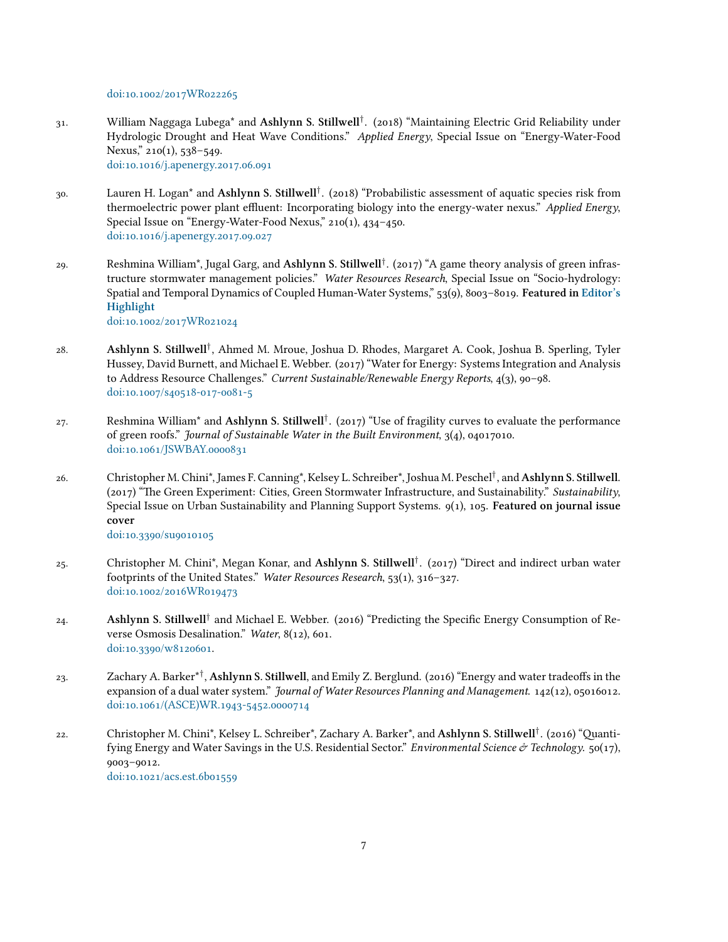doi:10.1002/2017WR022265

- . William Naggaga Lubega\* and **Ashlynn S. Stillwell***†* . () "Maintaining Electric Grid Reliability under Hydrologic Drought and Heat Wave Conditions." *Applied Energy*, Special Issue on "Energy-Water-Food Nexus,"  $210(1)$ ,  $538-549$ . doi:10.1016/j.apenergy.2017.06.091
- 30. Lauren H. Logan\* and **Ashlynn S. Stillwell**<sup>†</sup>. (2018) "Probabilistic assessment of aquatic species risk from thermoelectric power plant effluent: Incorporating biology into the energy-water nexus." *Applied Energy*, Special Issue on "Energy-Water-Food Nexus,"  $210(1)$ ,  $434-450$ . doi:10.1016/j.apenergy.2017.09.027
- 29. Reshmina William\*, Jugal Garg, and **Ashlynn S. Stillwell**<sup>†</sup>. (2017) "A game theory analysis of green infrastructure stormwater management policies." *Water Resources Research*, Special Issue on "Socio-hydrology: Spatial and Temporal Dynamics of Coupled Human-Water Systems," 53(9), 8003-8019. Featured in [Editor's](http://agupubs.onlinelibrary.wiley.com/hub/article/10.1002/2017WR021024/editor-highlight/) **[Highlight](http://agupubs.onlinelibrary.wiley.com/hub/article/10.1002/2017WR021024/editor-highlight/)**

doi:10.1002/2017WR021024

- . **Ashlynn S. Stillwell***†* , Ahmed M. Mroue, Joshua D. Rhodes, Margaret A. Cook, Joshua B. Sperling, Tyler Hussey, David Burnett, and Michael E. Webber. (2017) "Water for Energy: Systems Integration and Analysis to Address Resource Challenges." *Current Sustainable/Renewable Energy Reports*, 4(3), 90-98. doi:10.1007/s40518-017-0081-5
- . Reshmina William\* and **Ashlynn S. Stillwell***†* . () "Use of fragility curves to evaluate the performance of green roofs." *Journal of Sustainable Water in the Built Environment*,  $3(4)$ , 04017010. doi:10.1061/JSWBAY.0000831
- . Christopher M. Chini\*, James F. Canning\*, Kelsey L. Schreiber\*, Joshua M. Peschel*†* , and**Ashlynn S. Stillwell**. (2017) "The Green Experiment: Cities, Green Stormwater Infrastructure, and Sustainability." Sustainability, Special Issue on Urban Sustainability and Planning Support Systems. 9(1), 105. Featured on journal issue **cover**

doi:10.3390/su9010105

- . Christopher M. Chini\*, Megan Konar, and **Ashlynn S. Stillwell***†* . () "Direct and indirect urban water footprints of the United States." *Water Resources Research*, 53(1), 316-327. doi:10.1002/2016WR019473
- 24. **Ashlynn S. Stillwell**<sup>†</sup> and Michael E. Webber. (2016) "Predicting the Specific Energy Consumption of Reverse Osmosis Desalination." *Water*, 8(12), 601. doi:10.3390/w8120601.
- 23. Zachary A. Barker\*<sup>†</sup>, **Ashlynn S. Stillwell**, and Emily Z. Berglund. (2016) "Energy and water tradeoffs in the expansion of a dual water system." *Journal of Water Resources Planning and Management*. 142(12), 05016012. doi:10.1061/(ASCE)WR.1943-5452.0000714
- 22. Christopher M. Chini\*, Kelsey L. Schreiber\*, Zachary A. Barker\*, and **Ashlynn S. Stillwell**<sup>†</sup>. (2016) "Quantifying Energy and Water Savings in the U.S. Residential Sector." *Environmental Science & Technology*.  $50(17)$ ,  $9003 - 9012.$ doi:10.1021/acs.est.6b01559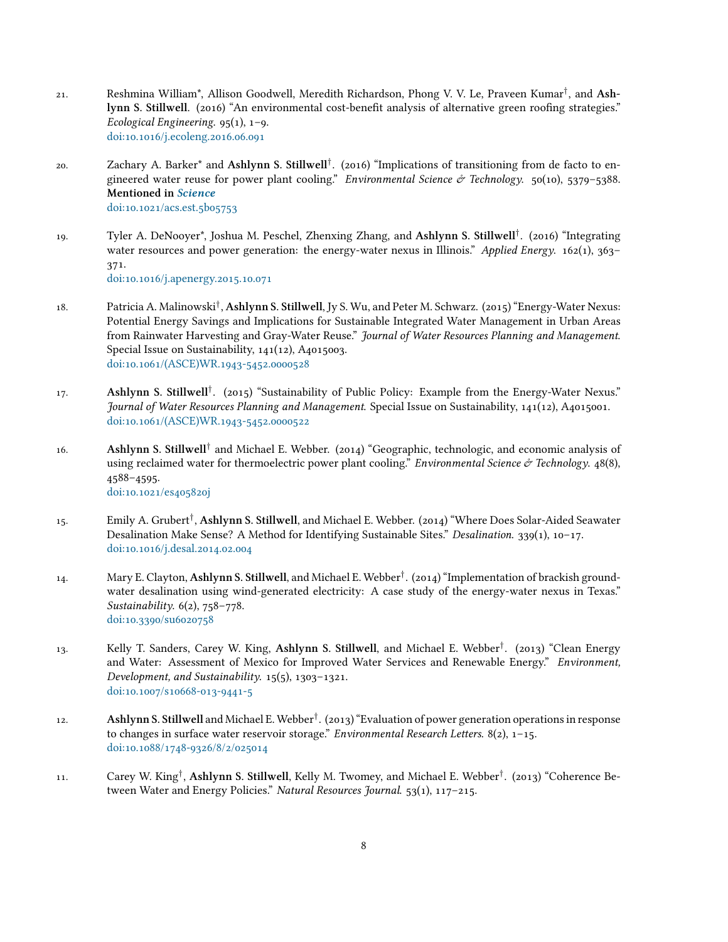- . Reshmina William\*, Allison Goodwell, Meredith Richardson, Phong V. V. Le, Praveen Kumar*†* , and **Ashlynn S. Stillwell.** (2016) "An environmental cost-benefit analysis of alternative green roofing strategies." *Ecological Engineering.*  $95(1)$ ,  $1-9$ . doi:10.1016/j.ecoleng.2016.06.091
- 20. Zachary A. Barker<sup>\*</sup> and **Ashlynn S. Stillwell**<sup>†</sup>. (2016) "Implications of transitioning from de facto to engineered water reuse for power plant cooling." *Environmental Science & Technology*.  $50(10)$ ,  $5379-5388$ . **Mentioned in** *[Science](http://science.sciencemag.org/content/352/6287/784.1)* doi:10.1021/acs.est.5b05753
- 19. Tyler A. DeNooyer\*, Joshua M. Peschel, Zhenxing Zhang, and **Ashlynn S. Stillwell**<sup>†</sup>. (2016) "Integrating water resources and power generation: the energy-water nexus in Illinois." *Applied Energy*.  $162(1)$ ,  $363-$ 371. doi:10.1016/j.apenergy.2015.10.071

- 18. Patricia A. Malinowski<sup>†</sup>, **Ashlynn S. Stillwell**, Jy S. Wu, and Peter M. Schwarz. (2015) "Energy-Water Nexus: Potential Energy Savings and Implications for Sustainable Integrated Water Management in Urban Areas from Rainwater Harvesting and Gray-Water Reuse." *Journal of Water Resources Planning and Management*. Special Issue on Sustainability,  $141(12)$ , A $4015003$ . doi:10.1061/(ASCE)WR.1943-5452.0000528
- 17. **Ashlynn S. Stillwell<sup>†</sup>.** (2015) "Sustainability of Public Policy: Example from the Energy-Water Nexus." *Journal of Water Resources Planning and Management*. Special Issue on Sustainability, 141(12), A4015001. doi:10.1061/(ASCE)WR.1943-5452.0000522
- 16. **Ashlynn S. Stillwell**<sup>†</sup> and Michael E. Webber. (2014) "Geographic, technologic, and economic analysis of using reclaimed water for thermoelectric power plant cooling." *Environmental Science & Technology.* 48(8), 4588-4595. doi:10.1021/es405820j
- 15. Emily A. Grubert<sup>†</sup>, **Ashlynn S. Stillwell**, and Michael E. Webber. (2014) "Where Does Solar-Aided Seawater Desalination Make Sense? A Method for Identifying Sustainable Sites." *Desalination.* 339(1), 10–17. doi:10.1016/j.desal.2014.02.004
- 14. Mary E. Clayton, Ashlynn S. Stillwell, and Michael E. Webber<sup>†</sup>. (2014) "Implementation of brackish groundwater desalination using wind-generated electricity: A case study of the energy-water nexus in Texas." *Sustainability.*  $6(2)$ ,  $758 - 778$ . doi:10.3390/su6020758
- 13. Kelly T. Sanders, Carey W. King, Ashlynn S. Stillwell, and Michael E. Webber<sup>†</sup>. (2013) "Clean Energy and Water: Assessment of Mexico for Improved Water Services and Renewable Energy." *Environment,*  $Development$ , and Sustainability.  $15(5)$ ,  $1303-1321$ . doi:10.1007/s10668-013-9441-5
- 12. **Ashlynn S. Stillwell** and Michael E. Webber<sup>†</sup>. (2013) "Evaluation of power generation operations in response to changes in surface water reservoir storage." *Environmental Research Letters*.  $8(2)$ ,  $1-15$ . doi:10.1088/1748-9326/8/2/025014
- 11. Carey W. King<sup>†</sup>, Ashlynn S. Stillwell, Kelly M. Twomey, and Michael E. Webber<sup>†</sup>. (2013) "Coherence Between Water and Energy Policies." *Natural Resources Journal.* 53(1), 117-215.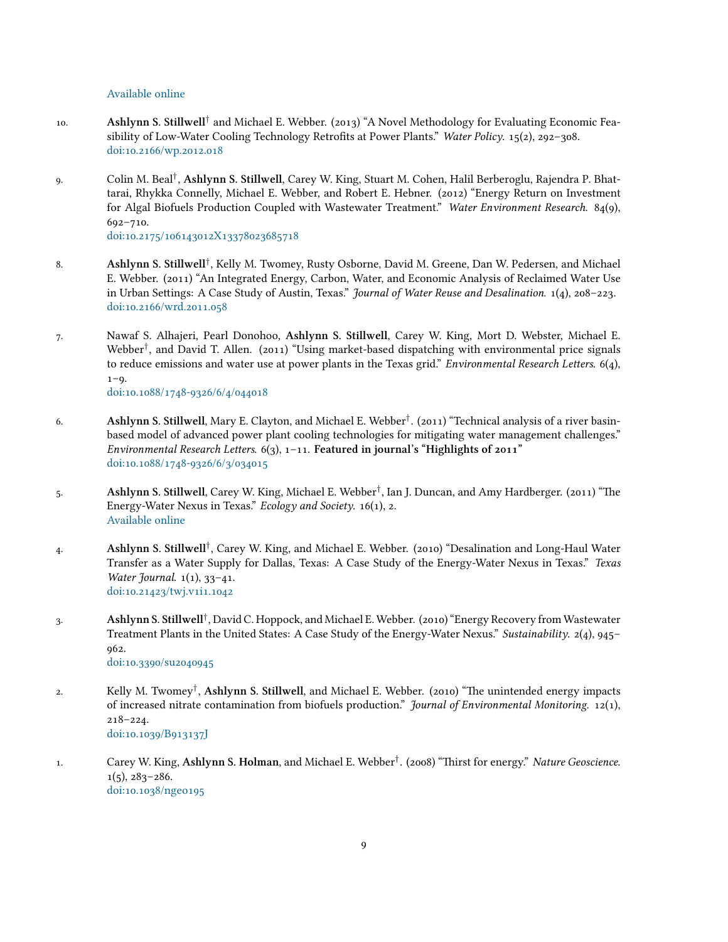[Available online](https://heinonline.org/HOL/Page?handle=hein.journals/narj53&div=7&g_sent=1&casa_token=&collection=journals)

- 10. **Ashlynn S. Stillwell**<sup>†</sup> and Michael E. Webber. (2013) "A Novel Methodology for Evaluating Economic Feasibility of Low-Water Cooling Technology Retrofits at Power Plants." *Water Policy.* 15(2), 292-308. doi:10.2166/wp.2012.018
- . Colin M. Beal*†* , **Ashlynn S. Stillwell**, Carey W. King, Stuart M. Cohen, Halil Berberoglu, Rajendra P. Bhattarai, Rhykka Connelly, Michael E. Webber, and Robert E. Hebner. (2012) "Energy Return on Investment for Algal Biofuels Production Coupled with Wastewater Treatment." Water Environment Research. 84(9),  $692 - 710.$

doi:10.2175/106143012X13378023685718

- . **Ashlynn S. Stillwell***†* , Kelly M. Twomey, Rusty Osborne, David M. Greene, Dan W. Pedersen, and Michael E. Webber. (2011) "An Integrated Energy, Carbon, Water, and Economic Analysis of Reclaimed Water Use in Urban Settings: A Case Study of Austin, Texas." *Journal of Water Reuse and Desalination*. 1(4), 208-223. doi:10.2166/wrd.2011.058
- . Nawaf S. Alhajeri, Pearl Donohoo, **Ashlynn S. Stillwell**, Carey W. King, Mort D. Webster, Michael E. Webber<sup>†</sup>, and David T. Allen. (2011) "Using market-based dispatching with environmental price signals to reduce emissions and water use at power plants in the Texas grid." *Environmental Research Letters*.  $6(4)$ ,  $1 - Q$ .

doi:10.1088/1748-9326/6/4/044018

- . **Ashlynn S. Stillwell**, Mary E. Clayton, and Michael E. Webber*†* . () "Technical analysis of a river basinbased model of advanced power plant cooling technologies for mitigating water management challenges." *Environmental Research Letters.*  $6(3)$ ,  $1-11$ . **Featured in journal's "Highlights of 2011"** doi:10.1088/1748-9326/6/3/034015
- 5. **Ashlynn S. Stillwell**, Carey W. King, Michael E. Webber<sup>†</sup>, Ian J. Duncan, and Amy Hardberger. (2011) "The Energy-Water Nexus in Texas." *Ecology and Society*. 16(1), 2. [Available online](https://www.ecologyandsociety.org/vol16/iss1/art2/)
- . **Ashlynn S. Stillwell***†* , Carey W. King, and Michael E. Webber. () "Desalination and Long-Haul Water Transfer as a Water Supply for Dallas, Texas: A Case Study of the Energy-Water Nexus in Texas." *Texas Water Journal.* 1(1), 33-41. doi:10.21423/twj.v1i1.1042
- . **Ashlynn S. Stillwell***†* , David C. Hoppock, and Michael E. Webber. () "Energy Recovery from Wastewater Treatment Plants in the United States: A Case Study of the Energy-Water Nexus." *Sustainability*. 2(4), 945– 962. doi:10.3390/su2040945

2. Kelly M. Twomey<sup>†</sup>, **Ashlynn S. Stillwell**, and Michael E. Webber. (2010) "The unintended energy impacts of increased nitrate contamination from biofuels production." *Journal of Environmental Monitoring.* 12(1),  $218 - 224.$ doi:10.1039/B913137J

. Carey W. King, **Ashlynn S. Holman**, and Michael E. Webber*†* . () "Thirst for energy." *Nature Geoscience*.  $1(5), 283 - 286.$ doi:10.1038/nge0195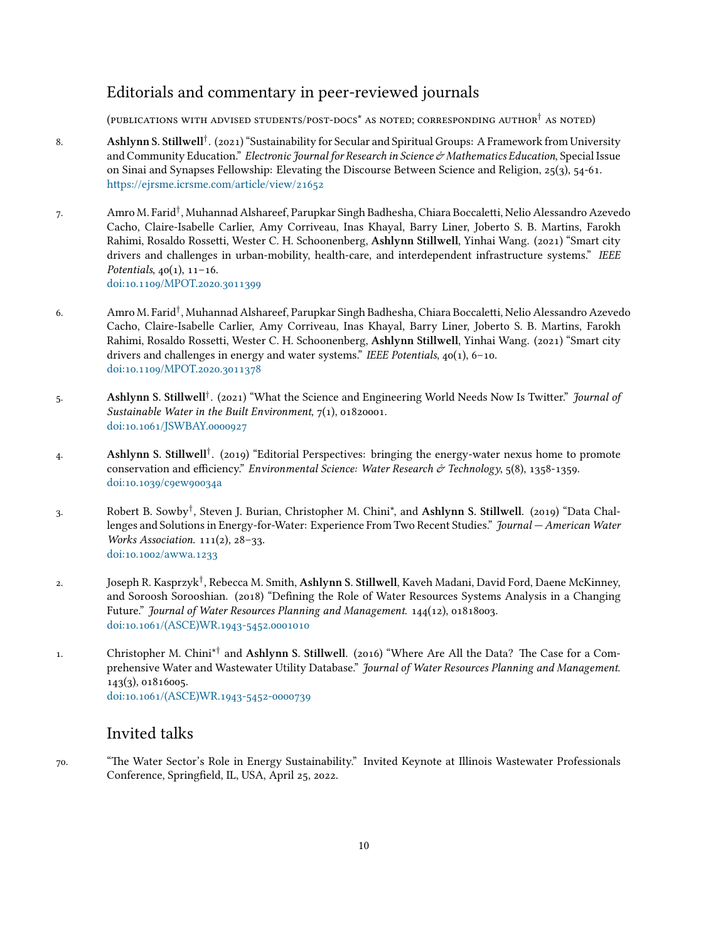# Editorials and commentary in peer-reviewed journals

(PUBLICATIONS WITH ADVISED STUDENTS/POST-DOCS<sup>\*</sup> AS NOTED; CORRESPONDING AUTHOR<sup>†</sup> AS NOTED)

- 8. **Ashlynn S. Stillwell**<sup>†</sup>. (2021) "Sustainability for Secular and Spiritual Groups: A Framework from University and Community Education." *Electronic Journal for Research in Science Mathematics Education*, Special Issue on Sinai and Synapses Fellowship: Elevating the Discourse Between Science and Religion,  $25(3)$ ,  $54-61$ . [https://ejrsme.icrsme.com/article/view/](https://ejrsme.icrsme.com/article/view/21652)
- . Amro M. Farid*†* , Muhannad Alshareef, Parupkar Singh Badhesha, Chiara Boccaletti, Nelio Alessandro Azevedo Cacho, Claire-Isabelle Carlier, Amy Corriveau, Inas Khayal, Barry Liner, Joberto S. B. Martins, Farokh Rahimi, Rosaldo Rossetti, Wester C. H. Schoonenberg, Ashlynn Stillwell, Yinhai Wang. (2021) "Smart city drivers and challenges in urban-mobility, health-care, and interdependent infrastructure systems." *IEEE Potentials*,  $40(1)$ ,  $11-16$ . doi:10.1109/MPOT.2020.3011399
- . Amro M. Farid*†* , Muhannad Alshareef, Parupkar Singh Badhesha, Chiara Boccaletti, Nelio Alessandro Azevedo Cacho, Claire-Isabelle Carlier, Amy Corriveau, Inas Khayal, Barry Liner, Joberto S. B. Martins, Farokh Rahimi, Rosaldo Rossetti, Wester C. H. Schoonenberg, Ashlynn Stillwell, Yinhai Wang. (2021) "Smart city drivers and challenges in energy and water systems." *IEEE Potentials*,  $40(1)$ ,  $6-10$ . doi:10.1109/MPOT.2020.3011378
- 5. **Ashlynn S. Stillwell**<sup>†</sup>. (2021) "What the Science and Engineering World Needs Now Is Twitter." *Journal of Sustainable Water in the Built Environment*,  $7(1)$ , 01820001. doi:10.1061/JSWBAY.0000927
- . **Ashlynn S. Stillwell***†* . () "Editorial Perspectives: bringing the energy-water nexus home to promote conservation and efficiency." *Environmental Science: Water Research & Technology*, 5(8), 1358-1359. doi:10.1039/c9ew90034a
- . Robert B. Sowby*†* , Steven J. Burian, Christopher M. Chini\*, and **Ashlynn S. Stillwell**. () "Data Challenges and Solutions in Energy-for-Water: Experience From Two Recent Studies." *Journal — American Water Works Association.* 111(2), 28-33. doi:10.1002/awwa.1233
- . Joseph R. Kasprzyk*†* , Rebecca M. Smith, **Ashlynn S. Stillwell**, Kaveh Madani, David Ford, Daene McKinney, and Soroosh Sorooshian. (2018) "Defining the Role of Water Resources Systems Analysis in a Changing Future." *Journal of Water Resources Planning and Management.* 144(12), 01818003. doi:10.1061/(ASCE)WR.1943-5452.0001010
- 1. Christopher M. Chini<sup>\*†</sup> and **Ashlynn S. Stillwell**. (2016) "Where Are All the Data? The Case for a Comprehensive Water and Wastewater Utility Database." *Journal of Water Resources Planning and Management*.  $143(3)$ , 01816005. doi:10.1061/(ASCE)WR.1943-5452-0000739

# Invited talks

. "The Water Sector's Role in Energy Sustainability." Invited Keynote at Illinois Wastewater Professionals Conference, Springfield, IL, USA, April 25, 2022.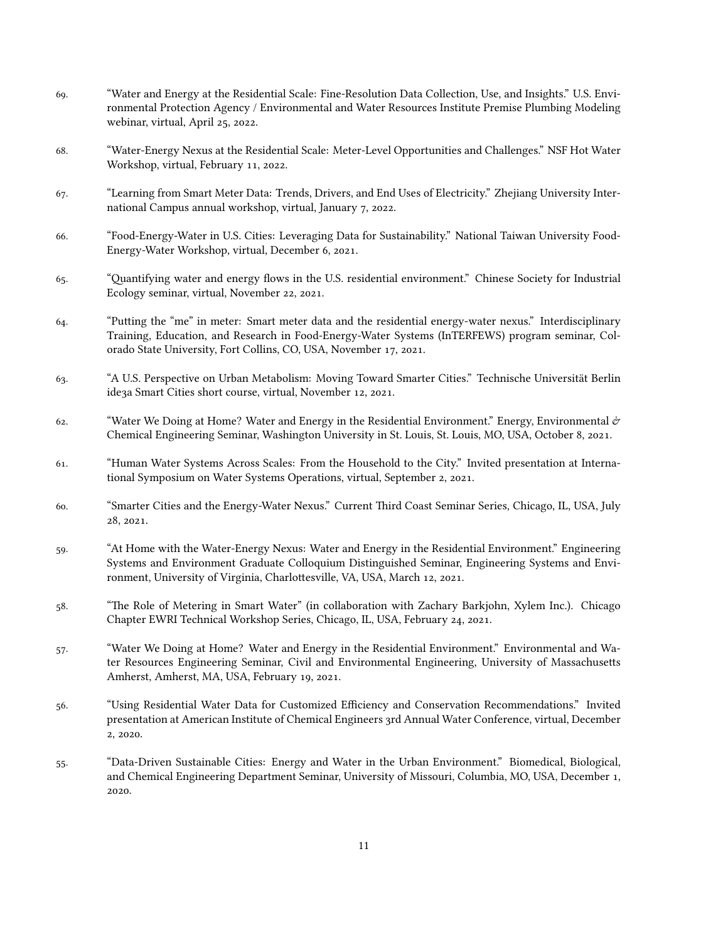- . "Water and Energy at the Residential Scale: Fine-Resolution Data Collection, Use, and Insights." U.S. Environmental Protection Agency / Environmental and Water Resources Institute Premise Plumbing Modeling webinar, virtual, April 25, 2022.
- . "Water-Energy Nexus at the Residential Scale: Meter-Level Opportunities and Challenges." NSF Hot Water Workshop, virtual, February 11, 2022.
- . "Learning from Smart Meter Data: Trends, Drivers, and End Uses of Electricity." Zhejiang University International Campus annual workshop, virtual, January 7, 2022.
- . "Food-Energy-Water in U.S. Cities: Leveraging Data for Sustainability." National Taiwan University Food-Energy-Water Workshop, virtual, December 6, 2021.
- . "Quantifying water and energy flows in the U.S. residential environment." Chinese Society for Industrial Ecology seminar, virtual, November 22, 2021.
- . "Putting the "me" in meter: Smart meter data and the residential energy-water nexus." Interdisciplinary Training, Education, and Research in Food-Energy-Water Systems (InTERFEWS) program seminar, Colorado State University, Fort Collins, CO, USA, November 17, 2021.
- . "A U.S. Perspective on Urban Metabolism: Moving Toward Smarter Cities." Technische Universität Berlin ide3a Smart Cities short course, virtual, November 12, 2021.
- 62. "Water We Doing at Home? Water and Energy in the Residential Environment." Energy, Environmental  $\dot{\sigma}$ Chemical Engineering Seminar, Washington University in St. Louis, St. Louis, MO, USA, October 8, 2021.
- . "Human Water Systems Across Scales: From the Household to the City." Invited presentation at International Symposium on Water Systems Operations, virtual, September 2, 2021.
- . "Smarter Cities and the Energy-Water Nexus." Current Third Coast Seminar Series, Chicago, IL, USA, July 28, 2021.
- . "At Home with the Water-Energy Nexus: Water and Energy in the Residential Environment." Engineering Systems and Environment Graduate Colloquium Distinguished Seminar, Engineering Systems and Environment, University of Virginia, Charlottesville, VA, USA, March 12, 2021.
- . "The Role of Metering in Smart Water" (in collaboration with Zachary Barkjohn, Xylem Inc.). Chicago Chapter EWRI Technical Workshop Series, Chicago, IL, USA, February 24, 2021.
- . "Water We Doing at Home? Water and Energy in the Residential Environment." Environmental and Water Resources Engineering Seminar, Civil and Environmental Engineering, University of Massachusetts Amherst, Amherst, MA, USA, February 19, 2021.
- . "Using Residential Water Data for Customized Efficiency and Conservation Recommendations." Invited presentation at American Institute of Chemical Engineers 3rd Annual Water Conference, virtual, December 2, 2020.
- . "Data-Driven Sustainable Cities: Energy and Water in the Urban Environment." Biomedical, Biological, and Chemical Engineering Department Seminar, University of Missouri, Columbia, MO, USA, December , 2020.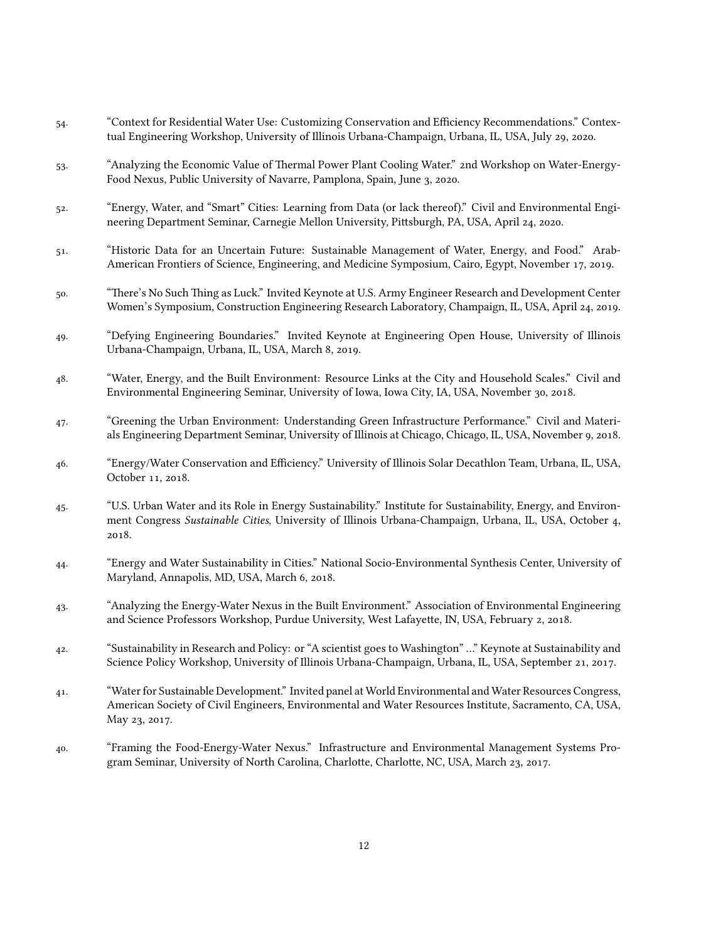- . "Context for Residential Water Use: Customizing Conservation and Efficiency Recommendations." Contextual Engineering Workshop, University of Illinois Urbana-Champaign, Urbana, IL, USA, July 29, 2020.
- . "Analyzing the Economic Value of Thermal Power Plant Cooling Water." nd Workshop on Water-Energy-Food Nexus, Public University of Navarre, Pamplona, Spain, June 3, 2020.
- . "Energy, Water, and "Smart" Cities: Learning from Data (or lack thereo)." Civil and Environmental Engineering Department Seminar, Carnegie Mellon University, Pittsburgh, PA, USA, April 24, 2020.
- . "Historic Data for an Uncertain Future: Sustainable Management of Water, Energy, and Food." Arab-American Frontiers of Science, Engineering, and Medicine Symposium, Cairo, Egypt, November 17, 2019.
- . "There's No Such Thing as Luck." Invited Keynote at U.S. Army Engineer Research and Development Center Women's Symposium, Construction Engineering Research Laboratory, Champaign, IL, USA, April 24, 2019.
- . "Defying Engineering Boundaries." Invited Keynote at Engineering Open House, University of Illinois Urbana-Champaign, Urbana, IL, USA, March 8, 2019.
- . "Water, Energy, and the Built Environment: Resource Links at the City and Household Scales." Civil and Environmental Engineering Seminar, University of Iowa, Iowa City, IA, USA, November 30, 2018.
- . "Greening the Urban Environment: Understanding Green Infrastructure Performance." Civil and Materials Engineering Department Seminar, University of Illinois at Chicago, Chicago, IL, USA, November 9, 2018.
- . "Energy/Water Conservation and Efficiency." University of Illinois Solar Decathlon Team, Urbana, IL, USA, October 11, 2018.
- . "U.S. Urban Water and its Role in Energy Sustainability." Institute for Sustainability, Energy, and Environment Congress *Sustainable Cities*, University of Illinois Urbana-Champaign, Urbana, IL, USA, October , 2018.
- . "Energy and Water Sustainability in Cities." National Socio-Environmental Synthesis Center, University of Maryland, Annapolis, MD, USA, March 6, 2018.
- . "Analyzing the Energy-Water Nexus in the Built Environment." Association of Environmental Engineering and Science Professors Workshop, Purdue University, West Lafayette, IN, USA, February 2, 2018.
- . "Sustainability in Research and Policy: or "A scientist goes to Washington" …" Keynote at Sustainability and Science Policy Workshop, University of Illinois Urbana-Champaign, Urbana, IL, USA, September 21, 2017.
- . "Water for Sustainable Development." Invited panel at World Environmental and Water Resources Congress, American Society of Civil Engineers, Environmental and Water Resources Institute, Sacramento, CA, USA, May 23, 2017.
- . "Framing the Food-Energy-Water Nexus." Infrastructure and Environmental Management Systems Program Seminar, University of North Carolina, Charlotte, Charlotte, NC, USA, March 23, 2017.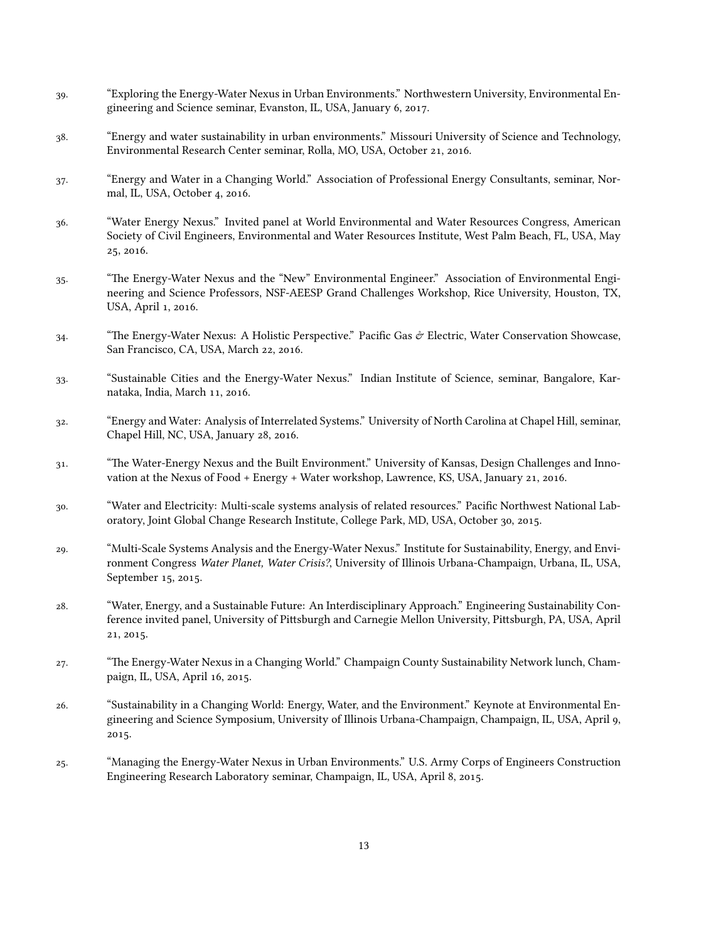- . "Exploring the Energy-Water Nexus in Urban Environments." Northwestern University, Environmental Engineering and Science seminar, Evanston, IL, USA, January 6, 2017.
- . "Energy and water sustainability in urban environments." Missouri University of Science and Technology, Environmental Research Center seminar, Rolla, MO, USA, October 21, 2016.
- . "Energy and Water in a Changing World." Association of Professional Energy Consultants, seminar, Normal, IL, USA, October 4, 2016.
- . "Water Energy Nexus." Invited panel at World Environmental and Water Resources Congress, American Society of Civil Engineers, Environmental and Water Resources Institute, West Palm Beach, FL, USA, May 25, 2016.
- . "The Energy-Water Nexus and the "New" Environmental Engineer." Association of Environmental Engineering and Science Professors, NSF-AEESP Grand Challenges Workshop, Rice University, Houston, TX, USA, April 1, 2016.
- <sup>34.</sup> "The Energy-Water Nexus: A Holistic Perspective." Pacific Gas  $\phi$  Electric, Water Conservation Showcase, San Francisco, CA, USA, March 22, 2016.
- . "Sustainable Cities and the Energy-Water Nexus." Indian Institute of Science, seminar, Bangalore, Karnataka, India, March 11, 2016.
- . "Energy and Water: Analysis of Interrelated Systems." University of North Carolina at Chapel Hill, seminar, Chapel Hill, NC, USA, January 28, 2016.
- . "The Water-Energy Nexus and the Built Environment." University of Kansas, Design Challenges and Innovation at the Nexus of Food + Energy + Water workshop, Lawrence, KS, USA, January 21, 2016.
- . "Water and Electricity: Multi-scale systems analysis of related resources." Pacific Northwest National Laboratory, Joint Global Change Research Institute, College Park, MD, USA, October 30, 2015.
- . "Multi-Scale Systems Analysis and the Energy-Water Nexus." Institute for Sustainability, Energy, and Environment Congress *Water Planet, Water Crisis?*, University of Illinois Urbana-Champaign, Urbana, IL, USA, September 15, 2015.
- . "Water, Energy, and a Sustainable Future: An Interdisciplinary Approach." Engineering Sustainability Conference invited panel, University of Pittsburgh and Carnegie Mellon University, Pittsburgh, PA, USA, April 21, 2015.
- . "The Energy-Water Nexus in a Changing World." Champaign County Sustainability Network lunch, Champaign, IL, USA, April 16, 2015.
- . "Sustainability in a Changing World: Energy, Water, and the Environment." Keynote at Environmental Engineering and Science Symposium, University of Illinois Urbana-Champaign, Champaign, IL, USA, April 9, 2015.
- . "Managing the Energy-Water Nexus in Urban Environments." U.S. Army Corps of Engineers Construction Engineering Research Laboratory seminar, Champaign, IL, USA, April 8, 2015.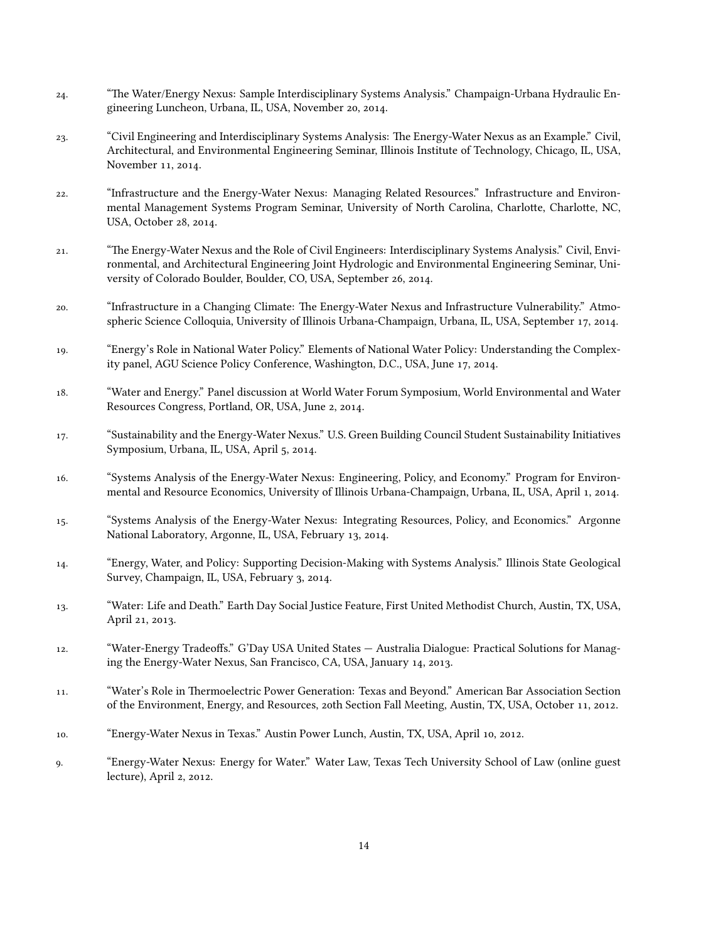- . "The Water/Energy Nexus: Sample Interdisciplinary Systems Analysis." Champaign-Urbana Hydraulic Engineering Luncheon, Urbana, IL, USA, November 20, 2014.
- . "Civil Engineering and Interdisciplinary Systems Analysis: The Energy-Water Nexus as an Example." Civil, Architectural, and Environmental Engineering Seminar, Illinois Institute of Technology, Chicago, IL, USA, November 11, 2014.
- . "Infrastructure and the Energy-Water Nexus: Managing Related Resources." Infrastructure and Environmental Management Systems Program Seminar, University of North Carolina, Charlotte, Charlotte, NC, USA, October 28, 2014.
- . "The Energy-Water Nexus and the Role of Civil Engineers: Interdisciplinary Systems Analysis." Civil, Environmental, and Architectural Engineering Joint Hydrologic and Environmental Engineering Seminar, University of Colorado Boulder, Boulder, CO, USA, September 26, 2014.
- . "Infrastructure in a Changing Climate: The Energy-Water Nexus and Infrastructure Vulnerability." Atmospheric Science Colloquia, University of Illinois Urbana-Champaign, Urbana, IL, USA, September 17, 2014.
- . "Energy's Role in National Water Policy." Elements of National Water Policy: Understanding the Complexity panel, AGU Science Policy Conference, Washington, D.C., USA, June 17, 2014.
- . "Water and Energy." Panel discussion at World Water Forum Symposium, World Environmental and Water Resources Congress, Portland, OR, USA, June 2, 2014.
- . "Sustainability and the Energy-Water Nexus." U.S. Green Building Council Student Sustainability Initiatives Symposium, Urbana, IL, USA, April 5, 2014.
- . "Systems Analysis of the Energy-Water Nexus: Engineering, Policy, and Economy." Program for Environmental and Resource Economics, University of Illinois Urbana-Champaign, Urbana, IL, USA, April 1, 2014.
- . "Systems Analysis of the Energy-Water Nexus: Integrating Resources, Policy, and Economics." Argonne National Laboratory, Argonne, IL, USA, February 13, 2014.
- . "Energy, Water, and Policy: Supporting Decision-Making with Systems Analysis." Illinois State Geological Survey, Champaign, IL, USA, February 3, 2014.
- . "Water: Life and Death." Earth Day Social Justice Feature, First United Methodist Church, Austin, TX, USA, April 21, 2013.
- . "Water-Energy Tradeoffs." G'Day USA United States Australia Dialogue: Practical Solutions for Managing the Energy-Water Nexus, San Francisco, CA, USA, January 14, 2013.
- . "Water's Role in Thermoelectric Power Generation: Texas and Beyond." American Bar Association Section of the Environment, Energy, and Resources, 20th Section Fall Meeting, Austin, TX, USA, October 11, 2012.
- 10. "Energy-Water Nexus in Texas." Austin Power Lunch, Austin, TX, USA, April 10, 2012.
- . "Energy-Water Nexus: Energy for Water." Water Law, Texas Tech University School of Law (online guest  $lecture)$ , April  $2$ ,  $2012$ .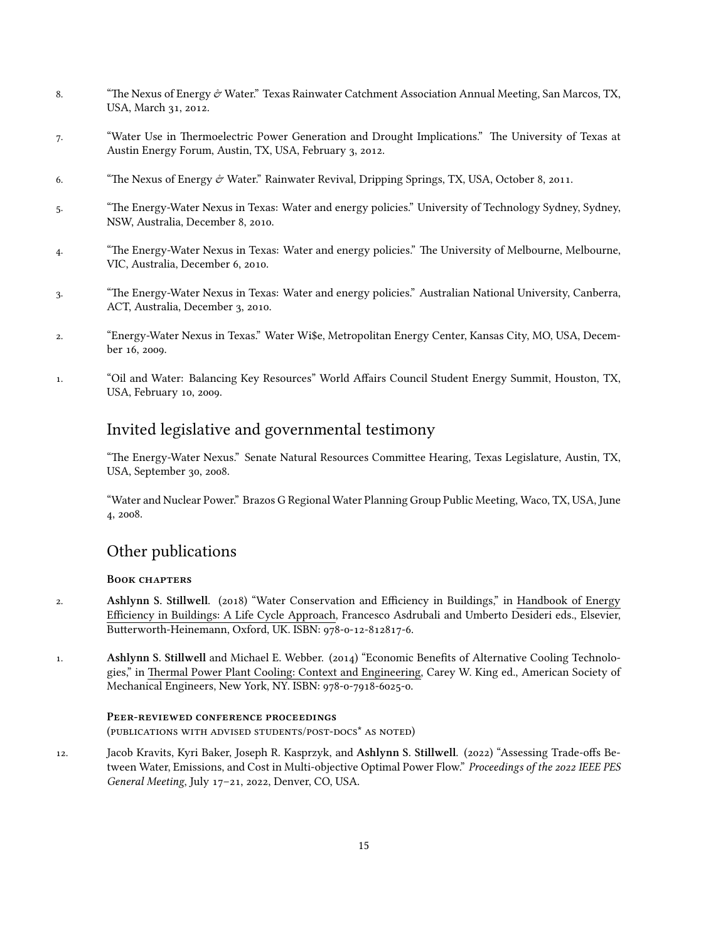- 8. "The Nexus of Energy & Water." Texas Rainwater Catchment Association Annual Meeting, San Marcos, TX, USA, March 31, 2012.
- . "Water Use in Thermoelectric Power Generation and Drought Implications." The University of Texas at Austin Energy Forum, Austin, TX, USA, February 3, 2012.
- 6. "The Nexus of Energy  $\dot{\mathcal{C}}$  Water." Rainwater Revival, Dripping Springs, TX, USA, October 8, 2011.
- . "The Energy-Water Nexus in Texas: Water and energy policies." University of Technology Sydney, Sydney, NSW, Australia, December 8, 2010.
- . "The Energy-Water Nexus in Texas: Water and energy policies." The University of Melbourne, Melbourne, VIC, Australia, December 6, 2010.
- . "The Energy-Water Nexus in Texas: Water and energy policies." Australian National University, Canberra, ACT, Australia, December 3, 2010.
- . "Energy-Water Nexus in Texas." Water Wi\$e, Metropolitan Energy Center, Kansas City, MO, USA, December 16, 2009.
- . "Oil and Water: Balancing Key Resources" World Affairs Council Student Energy Summit, Houston, TX, USA, February 10, 2009.

# Invited legislative and governmental testimony

"The Energy-Water Nexus." Senate Natural Resources Committee Hearing, Texas Legislature, Austin, TX, USA, September 30, 2008.

"Water and Nuclear Power." Brazos G Regional Water Planning Group Public Meeting, Waco, TX, USA, June 4, 2008.

# Other publications

## **BOOK CHAPTERS**

- 2. **Ashlynn S. Stillwell.** (2018) "Water Conservation and Efficiency in Buildings," in Handbook of Energy Efficiency in Buildings: A Life Cycle Approach, Francesco Asdrubali and Umberto Desideri eds., Elsevier, Butterworth-Heinemann, Oxford, UK. ISBN: 978-0-12-812817-6.
- 1. **Ashlynn S. Stillwell** and Michael E. Webber. (2014) "Economic Benefits of Alternative Cooling Technologies," in Thermal Power Plant Cooling: Context and Engineering, Carey W. King ed., American Society of Mechanical Engineers, New York, NY. ISBN: 978-0-7918-6025-0.

### PEER-REVIEWED CONFERENCE PROCEEDINGS (PUBLICATIONS WITH ADVISED STUDENTS/POST-DOCS<sup>\*</sup> AS NOTED)

12. Jacob Kravits, Kyri Baker, Joseph R. Kasprzyk, and Ashlynn S. Stillwell. (2022) "Assessing Trade-offs Between Water, Emissions, and Cost in Multi-objective Optimal Power Flow." *Proceedings of the IEEE PES General Meeting*, July 17-21, 2022, Denver, CO, USA.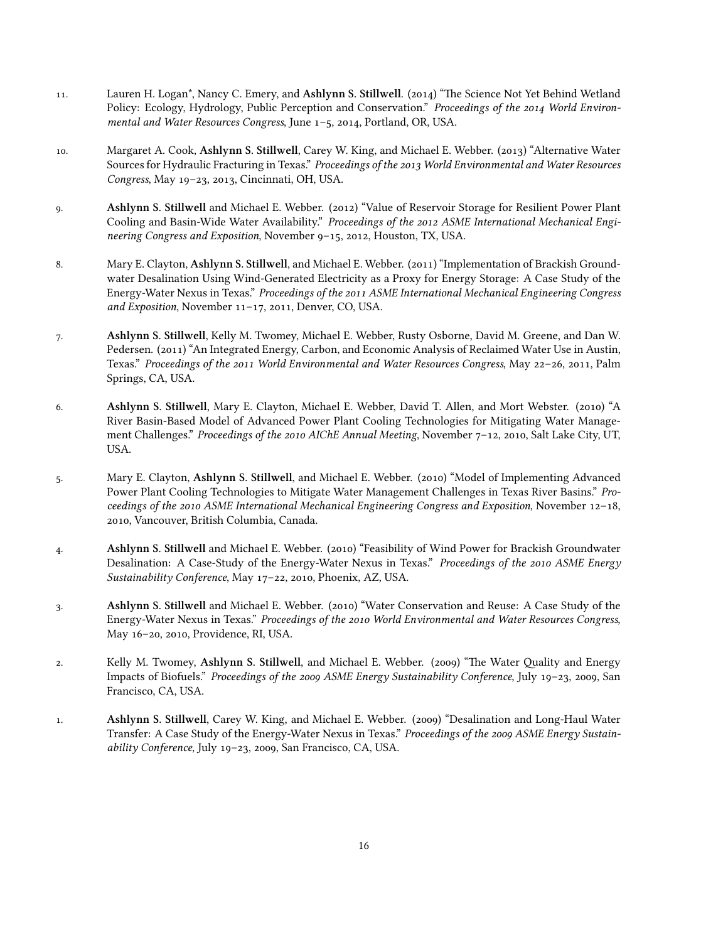- 11. Lauren H. Logan<sup>\*</sup>, Nancy C. Emery, and Ashlynn S. Stillwell. (2014) "The Science Not Yet Behind Wetland Policy: Ecology, Hydrology, Public Perception and Conservation." Proceedings of the 2014 World Environ*mental and Water Resources Congress*, June 1-5, 2014, Portland, OR, USA.
- 10. Margaret A. Cook, Ashlynn S. Stillwell, Carey W. King, and Michael E. Webber. (2013) "Alternative Water Sources for Hydraulic Fracturing in Texas." *Proceedings of the World Environmental and Water Resources* Congress, May 19-23, 2013, Cincinnati, OH, USA.
- 9. **Ashlynn S. Stillwell** and Michael E. Webber. (2012) "Value of Reservoir Storage for Resilient Power Plant Cooling and Basin-Wide Water Availability." Proceedings of the 2012 ASME International Mechanical Engineering Congress and Exposition, November 9-15, 2012, Houston, TX, USA.
- 8. Mary E. Clayton, Ashlynn S. Stillwell, and Michael E. Webber. (2011) "Implementation of Brackish Groundwater Desalination Using Wind-Generated Electricity as a Proxy for Energy Storage: A Case Study of the Energy-Water Nexus in Texas." *Proceedings of the 2011 ASME International Mechanical Engineering Congress* and Exposition, November 11-17, 2011, Denver, CO, USA.
- . **Ashlynn S. Stillwell**, Kelly M. Twomey, Michael E. Webber, Rusty Osborne, David M. Greene, and Dan W. Pedersen. (2011) "An Integrated Energy, Carbon, and Economic Analysis of Reclaimed Water Use in Austin, Texas." *Proceedings of the 2011 World Environmental and Water Resources Congress, May 22-26, 2011, Palm* Springs, CA, USA.
- 6. **Ashlynn S. Stillwell**, Mary E. Clayton, Michael E. Webber, David T. Allen, and Mort Webster. (2010) "A River Basin-Based Model of Advanced Power Plant Cooling Technologies for Mitigating Water Management Challenges." Proceedings of the 2010 AIChE Annual Meeting, November 7-12, 2010, Salt Lake City, UT, USA.
- 5. Mary E. Clayton, Ashlynn S. Stillwell, and Michael E. Webber. (2010) "Model of Implementing Advanced Power Plant Cooling Technologies to Mitigate Water Management Challenges in Texas River Basins." *Proceedings of the 2010 ASME International Mechanical Engineering Congress and Exposition*, November 12-18, , Vancouver, British Columbia, Canada.
- 4. **Ashlynn S. Stillwell** and Michael E. Webber. (2010) "Feasibility of Wind Power for Brackish Groundwater Desalination: A Case-Study of the Energy-Water Nexus in Texas." *Proceedings of the 2010 ASME Energy Sustainability Conference*, May 17-22, 2010, Phoenix, AZ, USA.
- 3. **Ashlynn S. Stillwell** and Michael E. Webber. (2010) "Water Conservation and Reuse: A Case Study of the Energy-Water Nexus in Texas." *Proceedings of the World Environmental and Water Resources Congress*, May 16-20, 2010, Providence, RI, USA.
- 2. Kelly M. Twomey, Ashlynn S. Stillwell, and Michael E. Webber. (2009) "The Water Quality and Energy Impacts of Biofuels." *Proceedings of the 2009 ASME Energy Sustainability Conference*, July 19-23, 2009, San Francisco, CA, USA.
- 1. **Ashlynn S. Stillwell**, Carey W. King, and Michael E. Webber. (2009) "Desalination and Long-Haul Water Transfer: A Case Study of the Energy-Water Nexus in Texas." Proceedings of the 2009 ASME Energy Sustain*ability Conference*, July 19-23, 2009, San Francisco, CA, USA.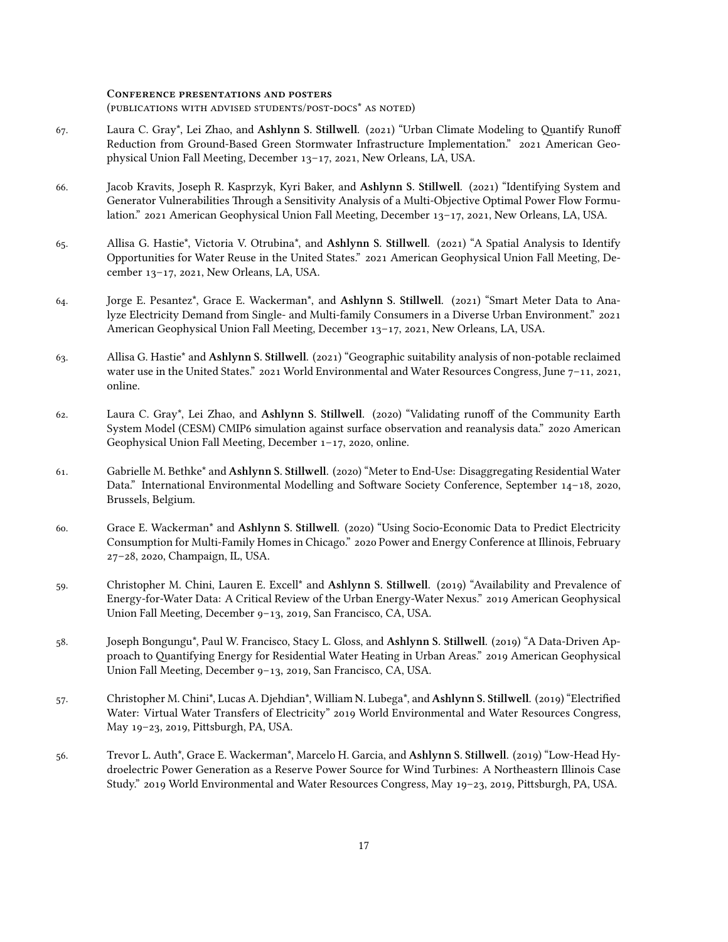#### **CONFERENCE PRESENTATIONS AND POSTERS**

(PUBLICATIONS WITH ADVISED STUDENTS/POST-DOCS<sup>\*</sup> AS NOTED)

- 67. Laura C. Gray\*, Lei Zhao, and Ashlynn S. Stillwell. (2021) "Urban Climate Modeling to Quantify Runoff Reduction from Ground-Based Green Stormwater Infrastructure Implementation." 2021 American Geophysical Union Fall Meeting, December 13-17, 2021, New Orleans, LA, USA.
- . Jacob Kravits, Joseph R. Kasprzyk, Kyri Baker, and **Ashlynn S. Stillwell**. () "Identifying System and Generator Vulnerabilities Through a Sensitivity Analysis of a Multi-Objective Optimal Power Flow Formulation." 2021 American Geophysical Union Fall Meeting, December 13–17, 2021, New Orleans, LA, USA.
- 65. Allisa G. Hastie\*, Victoria V. Otrubina\*, and Ashlynn S. Stillwell. (2021) "A Spatial Analysis to Identify Opportunities for Water Reuse in the United States." 2021 American Geophysical Union Fall Meeting, December 13-17, 2021, New Orleans, LA, USA.
- 64. Jorge E. Pesantez\*, Grace E. Wackerman\*, and Ashlynn S. Stillwell. (2021) "Smart Meter Data to Analyze Electricity Demand from Single- and Multi-family Consumers in a Diverse Urban Environment." American Geophysical Union Fall Meeting, December 13-17, 2021, New Orleans, LA, USA.
- 63. Allisa G. Hastie<sup>\*</sup> and **Ashlynn S. Stillwell**. (2021) "Geographic suitability analysis of non-potable reclaimed water use in the United States."  $2021$  World Environmental and Water Resources Congress, June  $7-11$ , 2021, online.
- . Laura C. Gray\*, Lei Zhao, and **Ashlynn S. Stillwell**. () "Validating runoff of the Community Earth System Model (CESM) CMIP6 simulation against surface observation and reanalysis data." 2020 American Geophysical Union Fall Meeting, December  $1-17$ , 2020, online.
- 61. Gabrielle M. Bethke<sup>\*</sup> and Ashlynn S. Stillwell. (2020) "Meter to End-Use: Disaggregating Residential Water Data." International Environmental Modelling and Software Society Conference, September 14-18, 2020, Brussels, Belgium.
- 60. Grace E. Wackerman<sup>\*</sup> and Ashlynn S. Stillwell. (2020) "Using Socio-Economic Data to Predict Electricity Consumption for Multi-Family Homes in Chicago." 2020 Power and Energy Conference at Illinois, February 27-28, 2020, Champaign, IL, USA.
- 59. Christopher M. Chini, Lauren E. Excell<sup>\*</sup> and Ashlynn S. Stillwell. (2019) "Availability and Prevalence of Energy-for-Water Data: A Critical Review of the Urban Energy-Water Nexus." 2019 American Geophysical Union Fall Meeting, December 9-13, 2019, San Francisco, CA, USA.
- 58. Joseph Bongungu\*, Paul W. Francisco, Stacy L. Gloss, and Ashlynn S. Stillwell. (2019) "A Data-Driven Approach to Quantifying Energy for Residential Water Heating in Urban Areas." 2019 American Geophysical Union Fall Meeting, December 9-13, 2019, San Francisco, CA, USA.
- 57. Christopher M. Chini\*, Lucas A. Djehdian\*, William N. Lubega\*, and Ashlynn S. Stillwell. (2019) "Electrified Water: Virtual Water Transfers of Electricity" 2019 World Environmental and Water Resources Congress, May 19-23, 2019, Pittsburgh, PA, USA.
- 56. Trevor L. Auth\*, Grace E. Wackerman\*, Marcelo H. Garcia, and Ashlynn S. Stillwell. (2019) "Low-Head Hydroelectric Power Generation as a Reserve Power Source for Wind Turbines: A Northeastern Illinois Case Study." 2019 World Environmental and Water Resources Congress, May 19-23, 2019, Pittsburgh, PA, USA.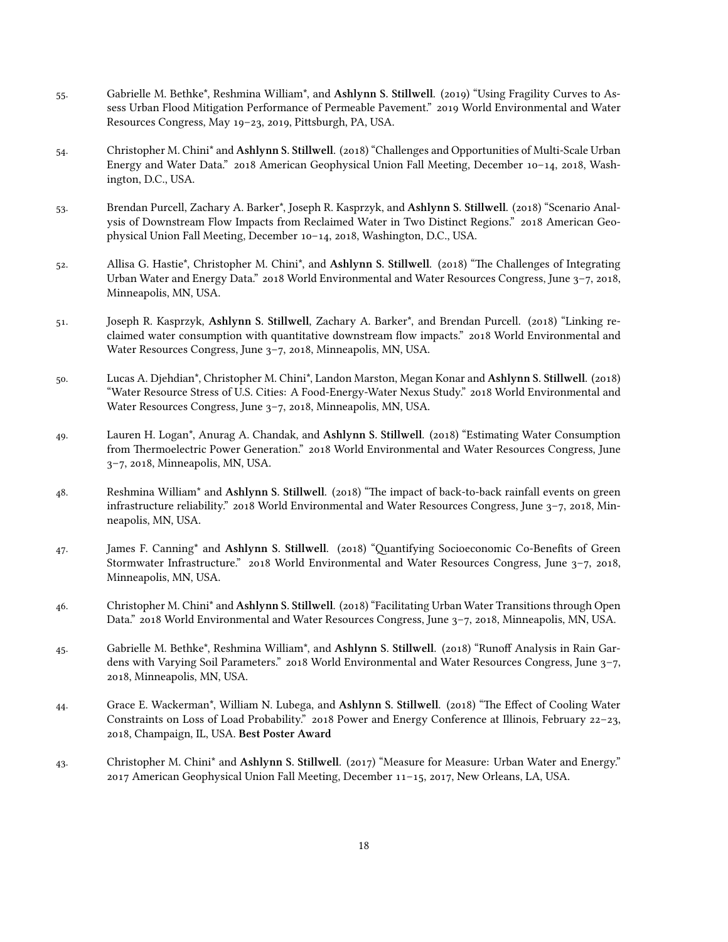- 55. Gabrielle M. Bethke<sup>\*</sup>, Reshmina William<sup>\*</sup>, and Ashlynn S. Stillwell. (2019) "Using Fragility Curves to Assess Urban Flood Mitigation Performance of Permeable Pavement." 2019 World Environmental and Water Resources Congress, May 19-23, 2019, Pittsburgh, PA, USA.
- 54. Christopher M. Chini\* and Ashlynn S. Stillwell. (2018) "Challenges and Opportunities of Multi-Scale Urban Energy and Water Data."  $2018$  American Geophysical Union Fall Meeting, December  $10-14$ ,  $2018$ , Washington, D.C., USA.
- 53. Brendan Purcell, Zachary A. Barker\*, Joseph R. Kasprzyk, and Ashlynn S. Stillwell. (2018) "Scenario Analysis of Downstream Flow Impacts from Reclaimed Water in Two Distinct Regions." 2018 American Geophysical Union Fall Meeting, December 10-14, 2018, Washington, D.C., USA.
- 52. Allisa G. Hastie<sup>\*</sup>, Christopher M. Chini<sup>\*</sup>, and Ashlynn S. Stillwell. (2018) "The Challenges of Integrating Urban Water and Energy Data."  $2018$  World Environmental and Water Resources Congress, June  $3-7$ ,  $2018$ , Minneapolis, MN, USA.
- 51. Joseph R. Kasprzyk, Ashlynn S. Stillwell, Zachary A. Barker<sup>\*</sup>, and Brendan Purcell. (2018) "Linking reclaimed water consumption with quantitative downstream flow impacts." 2018 World Environmental and Water Resources Congress, June 3-7, 2018, Minneapolis, MN, USA.
- 50. Lucas A. Djehdian\*, Christopher M. Chini\*, Landon Marston, Megan Konar and Ashlynn S. Stillwell. (2018) "Water Resource Stress of U.S. Cities: A Food-Energy-Water Nexus Study." 2018 World Environmental and Water Resources Congress, June 3-7, 2018, Minneapolis, MN, USA.
- 49. Lauren H. Logan<sup>\*</sup>, Anurag A. Chandak, and Ashlynn S. Stillwell. (2018) "Estimating Water Consumption from Thermoelectric Power Generation." 2018 World Environmental and Water Resources Congress, June 3-7, 2018, Minneapolis, MN, USA.
- 48. Reshmina William<sup>\*</sup> and Ashlynn S. Stillwell. (2018) "The impact of back-to-back rainfall events on green infrastructure reliability." 2018 World Environmental and Water Resources Congress, June  $3-7$ , 2018, Minneapolis, MN, USA.
- 47. James F. Canning<sup>\*</sup> and Ashlynn S. Stillwell. (2018) "Quantifying Socioeconomic Co-Benefits of Green Stormwater Infrastructure."  $2018$  World Environmental and Water Resources Congress, June  $3-7$ ,  $2018$ , Minneapolis, MN, USA.
- 46. Christopher M. Chini<sup>\*</sup> and Ashlynn S. Stillwell. (2018) "Facilitating Urban Water Transitions through Open Data." 2018 World Environmental and Water Resources Congress, June 3-7, 2018, Minneapolis, MN, USA.
- 45. Gabrielle M. Bethke<sup>\*</sup>, Reshmina William<sup>\*</sup>, and Ashlynn S. Stillwell. (2018) "Runoff Analysis in Rain Gardens with Varying Soil Parameters." 2018 World Environmental and Water Resources Congress, June 3-7, , Minneapolis, MN, USA.
- . Grace E. Wackerman\*, William N. Lubega, and **Ashlynn S. Stillwell**. () "The Effect of Cooling Water Constraints on Loss of Load Probability." 2018 Power and Energy Conference at Illinois, February 22-23, , Champaign, IL, USA. **Best Poster Award**
- . Christopher M. Chini\* and **Ashlynn S. Stillwell**. () "Measure for Measure: Urban Water and Energy."  $2017$  American Geophysical Union Fall Meeting, December  $11-15$ ,  $2017$ , New Orleans, LA, USA.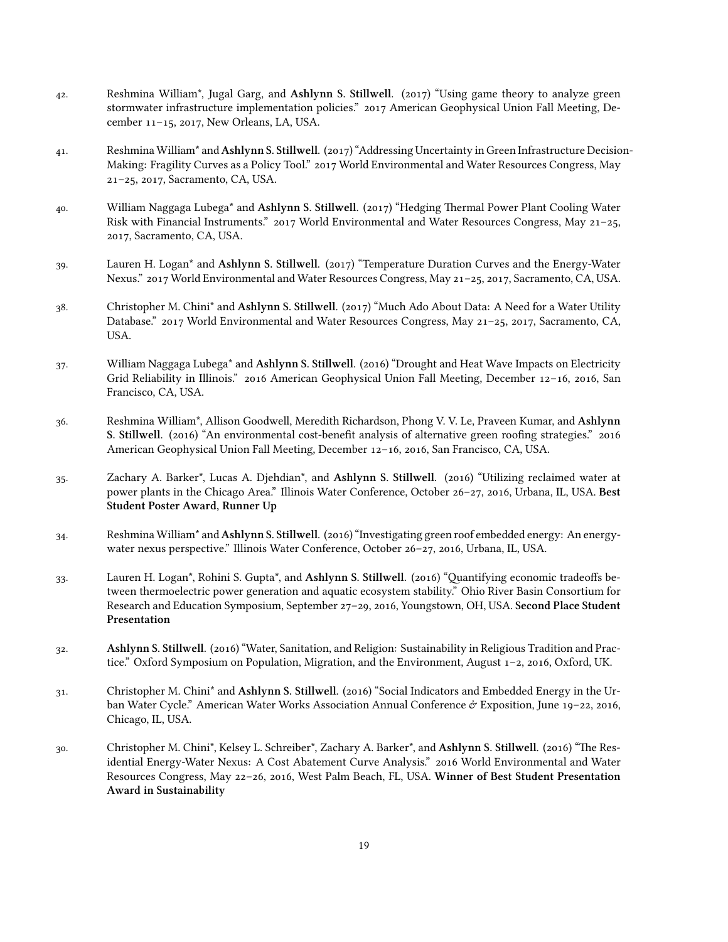- . Reshmina William\*, Jugal Garg, and **Ashlynn S. Stillwell**. () "Using game theory to analyze green stormwater infrastructure implementation policies." 2017 American Geophysical Union Fall Meeting, December 11-15, 2017, New Orleans, LA, USA.
- 41. Reshmina William<sup>\*</sup> and Ashlynn S. Stillwell. (2017) "Addressing Uncertainty in Green Infrastructure Decision-Making: Fragility Curves as a Policy Tool." 2017 World Environmental and Water Resources Congress, May 21-25, 2017, Sacramento, CA, USA.
- 40. William Naggaga Lubega<sup>\*</sup> and Ashlynn S. Stillwell. (2017) "Hedging Thermal Power Plant Cooling Water Risk with Financial Instruments."  $2017$  World Environmental and Water Resources Congress, May  $21-25$ , , Sacramento, CA, USA.
- 39. Lauren H. Logan<sup>\*</sup> and Ashlynn S. Stillwell. (2017) "Temperature Duration Curves and the Energy-Water Nexus." 2017 World Environmental and Water Resources Congress, May 21-25, 2017, Sacramento, CA, USA.
- 38. Christopher M. Chini<sup>\*</sup> and Ashlynn S. Stillwell. (2017) "Much Ado About Data: A Need for a Water Utility Database." 2017 World Environmental and Water Resources Congress, May 21-25, 2017, Sacramento, CA, USA.
- . William Naggaga Lubega\* and **Ashlynn S. Stillwell**. () "Drought and Heat Wave Impacts on Electricity Grid Reliability in Illinois." 2016 American Geophysical Union Fall Meeting, December  $12-16$ , 2016, San Francisco, CA, USA.
- . Reshmina William\*, Allison Goodwell, Meredith Richardson, Phong V. V. Le, Praveen Kumar, and **Ashlynn S. Stillwell.** (2016) "An environmental cost-benefit analysis of alternative green roofing strategies." 2016 American Geophysical Union Fall Meeting, December 12-16, 2016, San Francisco, CA, USA.
- . Zachary A. Barker\*, Lucas A. Djehdian\*, and **Ashlynn S. Stillwell**. () "Utilizing reclaimed water at power plants in the Chicago Area." Illinois Water Conference, October 26–27, 2016, Urbana, IL, USA. Best **Student Poster Award, Runner Up**
- 34. Reshmina William<sup>\*</sup> and Ashlynn S. Stillwell. (2016) "Investigating green roof embedded energy: An energywater nexus perspective." Illinois Water Conference, October 26-27, 2016, Urbana, IL, USA.
- . Lauren H. Logan\*, Rohini S. Gupta\*, and **Ashlynn S. Stillwell**. () "Quantifying economic tradeoffs between thermoelectric power generation and aquatic ecosystem stability." Ohio River Basin Consortium for Research and Education Symposium, September 27-29, 2016, Youngstown, OH, USA. Second Place Student **Presentation**
- 32. **Ashlynn S. Stillwell**. (2016) "Water, Sanitation, and Religion: Sustainability in Religious Tradition and Practice." Oxford Symposium on Population, Migration, and the Environment, August  $1-2$ , 2016, Oxford, UK.
- 31. Christopher M. Chini<sup>\*</sup> and Ashlynn S. Stillwell. (2016) "Social Indicators and Embedded Energy in the Urban Water Cycle." American Water Works Association Annual Conference  $\dot{\sigma}$  Exposition, June 19-22, 2016, Chicago, IL, USA.
- 30. Christopher M. Chini\*, Kelsey L. Schreiber\*, Zachary A. Barker\*, and Ashlynn S. Stillwell. (2016) "The Residential Energy-Water Nexus: A Cost Abatement Curve Analysis." 2016 World Environmental and Water Resources Congress, May 22-26, 2016, West Palm Beach, FL, USA. Winner of Best Student Presentation **Award in Sustainability**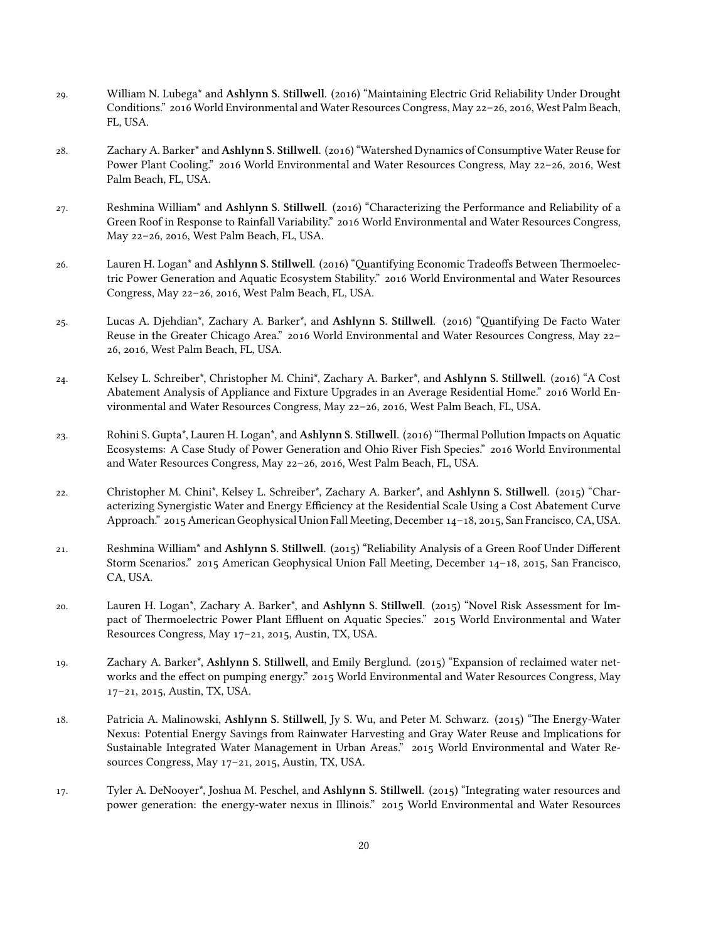- 29. William N. Lubega<sup>\*</sup> and Ashlynn S. Stillwell. (2016) "Maintaining Electric Grid Reliability Under Drought Conditions." 2016 World Environmental and Water Resources Congress, May 22-26, 2016, West Palm Beach, FL, USA.
- 28. Zachary A. Barker\* and Ashlynn S. Stillwell. (2016) "Watershed Dynamics of Consumptive Water Reuse for Power Plant Cooling." 2016 World Environmental and Water Resources Congress, May 22-26, 2016, West Palm Beach, FL, USA.
- 27. Reshmina William<sup>\*</sup> and Ashlynn S. Stillwell. (2016) "Characterizing the Performance and Reliability of a Green Roof in Response to Rainfall Variability." 2016 World Environmental and Water Resources Congress, May 22-26, 2016, West Palm Beach, FL, USA.
- 26. Lauren H. Logan<sup>\*</sup> and Ashlynn S. Stillwell. (2016) "Quantifying Economic Tradeoffs Between Thermoelectric Power Generation and Aquatic Ecosystem Stability." 2016 World Environmental and Water Resources Congress, May 22-26, 2016, West Palm Beach, FL, USA.
- 25. Lucas A. Djehdian\*, Zachary A. Barker\*, and Ashlynn S. Stillwell. (2016) "Quantifying De Facto Water Reuse in the Greater Chicago Area." 2016 World Environmental and Water Resources Congress, May 22– 26, 2016, West Palm Beach, FL, USA.
- 24. Kelsey L. Schreiber\*, Christopher M. Chini\*, Zachary A. Barker\*, and Ashlynn S. Stillwell. (2016) "A Cost Abatement Analysis of Appliance and Fixture Upgrades in an Average Residential Home." 2016 World Environmental and Water Resources Congress, May 22-26, 2016, West Palm Beach, FL, USA.
- 23. Rohini S. Gupta<sup>\*</sup>, Lauren H. Logan<sup>\*</sup>, and Ashlynn S. Stillwell. (2016) "Thermal Pollution Impacts on Aquatic Ecosystems: A Case Study of Power Generation and Ohio River Fish Species." 2016 World Environmental and Water Resources Congress, May 22-26, 2016, West Palm Beach, FL, USA.
- 22. Christopher M. Chini<sup>\*</sup>, Kelsey L. Schreiber<sup>\*</sup>, Zachary A. Barker<sup>\*</sup>, and Ashlynn S. Stillwell. (2015) "Characterizing Synergistic Water and Energy Efficiency at the Residential Scale Using a Cost Abatement Curve Approach." 2015 American Geophysical Union Fall Meeting, December 14-18, 2015, San Francisco, CA, USA.
- 21. Reshmina William<sup>\*</sup> and Ashlynn S. Stillwell. (2015) "Reliability Analysis of a Green Roof Under Different Storm Scenarios." 2015 American Geophysical Union Fall Meeting, December 14-18, 2015, San Francisco, CA, USA.
- 20. Lauren H. Logan<sup>\*</sup>, Zachary A. Barker<sup>\*</sup>, and **Ashlynn S. Stillwell**. (2015) "Novel Risk Assessment for Impact of Thermoelectric Power Plant Effluent on Aquatic Species." 2015 World Environmental and Water Resources Congress, May 17-21, 2015, Austin, TX, USA.
- 19. Zachary A. Barker<sup>\*</sup>, Ashlynn S. Stillwell, and Emily Berglund. (2015) "Expansion of reclaimed water networks and the effect on pumping energy." 2015 World Environmental and Water Resources Congress, May 17-21, 2015, Austin, TX, USA.
- 18. Patricia A. Malinowski, Ashlynn S. Stillwell, Jy S. Wu, and Peter M. Schwarz. (2015) "The Energy-Water Nexus: Potential Energy Savings from Rainwater Harvesting and Gray Water Reuse and Implications for Sustainable Integrated Water Management in Urban Areas." 2015 World Environmental and Water Resources Congress, May  $17-21$ , 2015, Austin, TX, USA.
- 17. Tyler A. DeNooyer<sup>\*</sup>, Joshua M. Peschel, and **Ashlynn S. Stillwell**. (2015) "Integrating water resources and power generation: the energy-water nexus in Illinois." 2015 World Environmental and Water Resources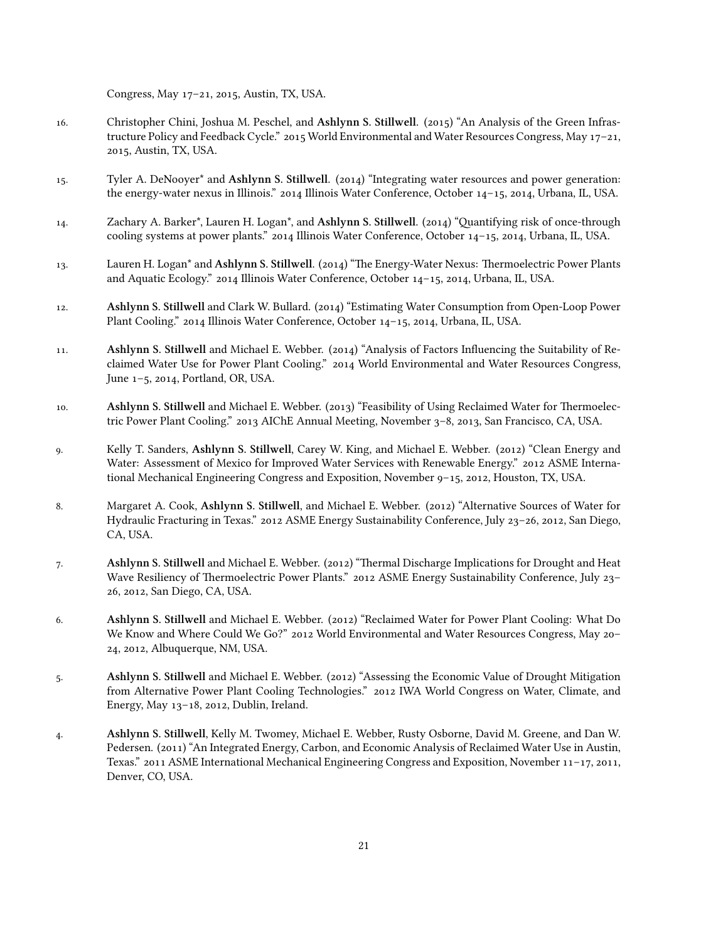Congress, May  $17-21$ , 2015, Austin, TX, USA.

- 16. Christopher Chini, Joshua M. Peschel, and Ashlynn S. Stillwell. (2015) "An Analysis of the Green Infrastructure Policy and Feedback Cycle." 2015 World Environmental and Water Resources Congress, May 17-21, , Austin, TX, USA.
- 15. Tyler A. DeNooyer<sup>\*</sup> and **Ashlynn S. Stillwell**. (2014) "Integrating water resources and power generation: the energy-water nexus in Illinois."  $2014$  Illinois Water Conference, October  $14-15$ ,  $2014$ , Urbana, IL, USA.
- 14. Zachary A. Barker\*, Lauren H. Logan\*, and Ashlynn S. Stillwell. (2014) "Quantifying risk of once-through cooling systems at power plants." 2014 Illinois Water Conference, October 14-15, 2014, Urbana, IL, USA.
- 13. Lauren H. Logan<sup>\*</sup> and Ashlynn S. Stillwell. (2014) "The Energy-Water Nexus: Thermoelectric Power Plants and Aquatic Ecology." 2014 Illinois Water Conference, October 14-15, 2014, Urbana, IL, USA.
- 12. **Ashlynn S. Stillwell** and Clark W. Bullard. (2014) "Estimating Water Consumption from Open-Loop Power Plant Cooling." 2014 Illinois Water Conference, October 14-15, 2014, Urbana, IL, USA.
- 11. **Ashlynn S. Stillwell** and Michael E. Webber. (2014) "Analysis of Factors Influencing the Suitability of Reclaimed Water Use for Power Plant Cooling." 2014 World Environmental and Water Resources Congress, June 1-5, 2014, Portland, OR, USA.
- 10. **Ashlynn S. Stillwell** and Michael E. Webber. (2013) "Feasibility of Using Reclaimed Water for Thermoelectric Power Plant Cooling."  $2013$  AIChE Annual Meeting, November  $3-8$ ,  $2013$ , San Francisco, CA, USA.
- 9. Kelly T. Sanders, Ashlynn S. Stillwell, Carey W. King, and Michael E. Webber. (2012) "Clean Energy and Water: Assessment of Mexico for Improved Water Services with Renewable Energy." 2012 ASME International Mechanical Engineering Congress and Exposition, November  $9-15$ , 2012, Houston, TX, USA.
- 8. Margaret A. Cook, Ashlynn S. Stillwell, and Michael E. Webber. (2012) "Alternative Sources of Water for Hydraulic Fracturing in Texas." 2012 ASME Energy Sustainability Conference, July 23-26, 2012, San Diego, CA, USA.
- 7. **Ashlynn S. Stillwell** and Michael E. Webber. (2012) "Thermal Discharge Implications for Drought and Heat Wave Resiliency of Thermoelectric Power Plants." 2012 ASME Energy Sustainability Conference, July 23-26, 2012, San Diego, CA, USA.
- 6. **Ashlynn S. Stillwell** and Michael E. Webber. (2012) "Reclaimed Water for Power Plant Cooling: What Do We Know and Where Could We Go?" 2012 World Environmental and Water Resources Congress, May 20-24, 2012, Albuquerque, NM, USA.
- 5. **Ashlynn S. Stillwell** and Michael E. Webber. (2012) "Assessing the Economic Value of Drought Mitigation from Alternative Power Plant Cooling Technologies." 2012 IWA World Congress on Water, Climate, and Energy, May 13-18, 2012, Dublin, Ireland.
- . **Ashlynn S. Stillwell**, Kelly M. Twomey, Michael E. Webber, Rusty Osborne, David M. Greene, and Dan W. Pedersen. (2011) "An Integrated Energy, Carbon, and Economic Analysis of Reclaimed Water Use in Austin, Texas."  $2011$  ASME International Mechanical Engineering Congress and Exposition, November  $11-17$ ,  $2011$ , Denver, CO, USA.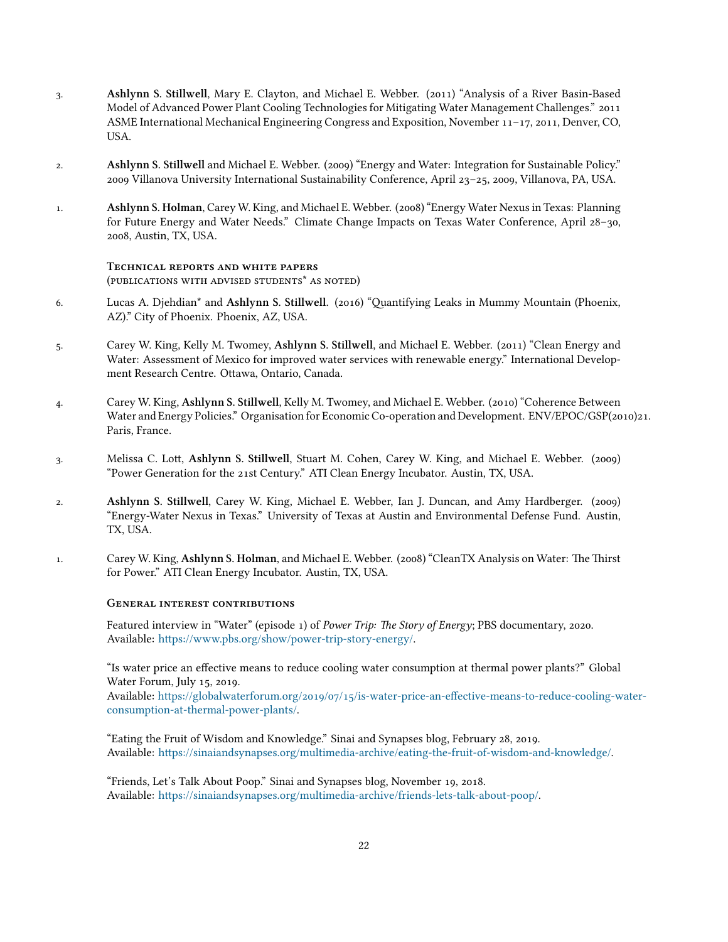- 3. **Ashlynn S. Stillwell**, Mary E. Clayton, and Michael E. Webber. (2011) "Analysis of a River Basin-Based Model of Advanced Power Plant Cooling Technologies for Mitigating Water Management Challenges." 2011 ASME International Mechanical Engineering Congress and Exposition, November  $11-17$ , 2011, Denver, CO, USA.
- 2. **Ashlynn S. Stillwell** and Michael E. Webber. (2009) "Energy and Water: Integration for Sustainable Policy." 2009 Villanova University International Sustainability Conference, April 23-25, 2009, Villanova, PA, USA.
- 1. **Ashlynn S. Holman**, Carey W. King, and Michael E. Webber. (2008) "Energy Water Nexus in Texas: Planning for Future Energy and Water Needs." Climate Change Impacts on Texas Water Conference, April 28-30, , Austin, TX, USA.

#### **TECHNICAL REPORTS AND WHITE PAPERS**

(PUBLICATIONS WITH ADVISED STUDENTS<sup>\*</sup> AS NOTED)

- . Lucas A. Djehdian\* and **Ashlynn S. Stillwell**. () "Quantifying Leaks in Mummy Mountain (Phoenix, AZ)." City of Phoenix. Phoenix, AZ, USA.
- 5. Carey W. King, Kelly M. Twomey, Ashlynn S. Stillwell, and Michael E. Webber. (2011) "Clean Energy and Water: Assessment of Mexico for improved water services with renewable energy." International Development Research Centre. Ottawa, Ontario, Canada.
- 4. Carey W. King, Ashlynn S. Stillwell, Kelly M. Twomey, and Michael E. Webber. (2010) "Coherence Between Water and Energy Policies." Organisation for Economic Co-operation and Development. ENV/EPOC/GSP(2010)21. Paris, France.
- . Melissa C. Lott, **Ashlynn S. Stillwell**, Stuart M. Cohen, Carey W. King, and Michael E. Webber. () "Power Generation for the st Century." ATI Clean Energy Incubator. Austin, TX, USA.
- 2. **Ashlynn S. Stillwell**, Carey W. King, Michael E. Webber, Ian J. Duncan, and Amy Hardberger. (2009) "Energy-Water Nexus in Texas." University of Texas at Austin and Environmental Defense Fund. Austin, TX, USA.
- 1. Carey W. King, Ashlynn S. Holman, and Michael E. Webber. (2008) "CleanTX Analysis on Water: The Thirst for Power." ATI Clean Energy Incubator. Austin, TX, USA.

### **GENERAL INTEREST CONTRIBUTIONS**

Featured interview in "Water" (episode 1) of *Power Trip: The Story of Energy*; PBS documentary, 2020. Available: [https://www.pbs.org/show/power-trip-story-energy/.](https://www.pbs.org/show/power-trip-story-energy/)

"Is water price an effective means to reduce cooling water consumption at thermal power plants?" Global Water Forum, July 15, 2019.

Available: https://globalwaterforum.org/2019/07/15/is-water-price-an-effective-means-to-reduce-cooling-water[consumption-at-thermal-power-plants/.](https://globalwaterforum.org/2019/07/15/is-water-price-an-effective-means-to-reduce-cooling-water-consumption-at-thermal-power-plants/)

"Eating the Fruit of Wisdom and Knowledge." Sinai and Synapses blog, February 28, 2019. Available: <https://sinaiandsynapses.org/multimedia-archive/eating-the-fruit-of-wisdom-and-knowledge/>.

"Friends, Let's Talk About Poop." Sinai and Synapses blog, November 19, 2018. Available: [https://sinaiandsynapses.org/multimedia-archive/friends-lets-talk-about-poop/.](https://sinaiandsynapses.org/multimedia-archive/friends-lets-talk-about-poop/)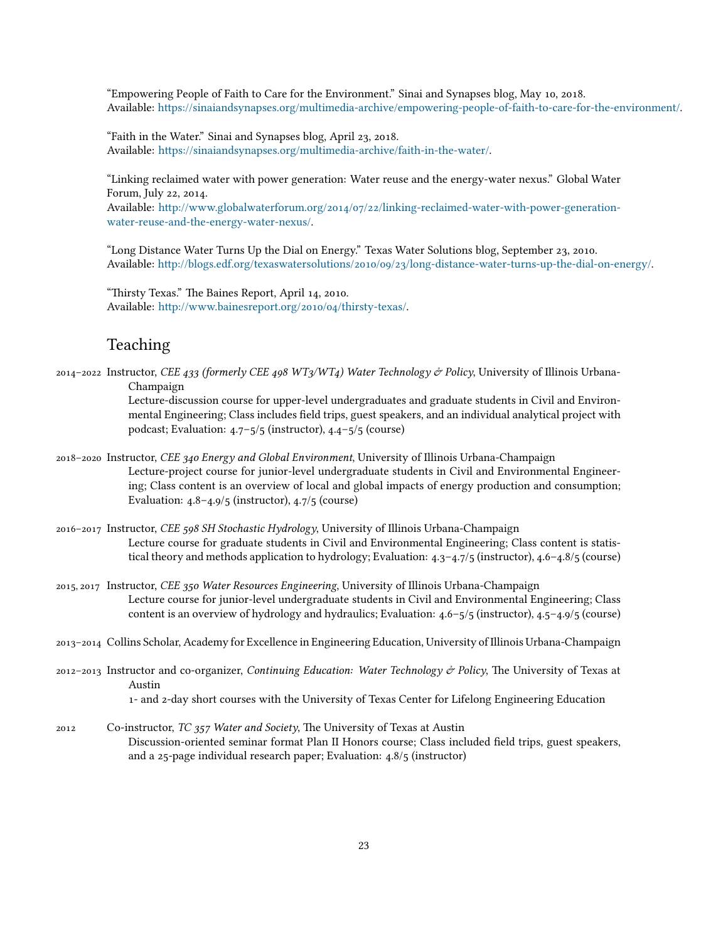"Empowering People of Faith to Care for the Environment." Sinai and Synapses blog, May 10, 2018. Available: [https://sinaiandsynapses.org/multimedia-archive/empowering-people-of-faith-to-care-for-the-environment/.](https://sinaiandsynapses.org/multimedia-archive/empowering-people-of-faith-to-care-for-the-environment/)

"Faith in the Water." Sinai and Synapses blog, April 23, 2018. Available: <https://sinaiandsynapses.org/multimedia-archive/faith-in-the-water/>.

"Linking reclaimed water with power generation: Water reuse and the energy-water nexus." Global Water Forum, July 22, 2014.

Available: http://www.globalwaterforum.org/2014/07/22/linking-reclaimed-water-with-power-generation[water-reuse-and-the-energy-water-nexus/.](http://www.globalwaterforum.org/2014/07/22/linking-reclaimed-water-with-power-generation-water-reuse-and-the-energy-water-nexus/)

"Long Distance Water Turns Up the Dial on Energy." Texas Water Solutions blog, September 23, 2010. Available: http://blogs.edf.org/texaswatersolutions/2010/09/23/long-distance-water-turns-up-the-dial-on-energy/.

"Thirsty Texas." The Baines Report, April 14, 2010. Available: http://www.bainesreport.org/2010/04/thirsty-texas/.

# Teaching

2014-2022 Instructor, *CEE 433 (formerly CEE 498 WT3/WT4) Water Technology & Policy*, University of Illinois Urbana-Champaign

> Lecture-discussion course for upper-level undergraduates and graduate students in Civil and Environmental Engineering; Class includes field trips, guest speakers, and an individual analytical project with podcast; Evaluation:  $4.7 - 5/5$  (instructor),  $4.4 - 5/5$  (course)

- Instructor, *CEE Energy and Global Environment*, University of Illinois Urbana-Champaign Lecture-project course for junior-level undergraduate students in Civil and Environmental Engineering; Class content is an overview of local and global impacts of energy production and consumption; Evaluation:  $4.8-4.9/5$  (instructor),  $4.7/5$  (course)
- Instructor, *CEE SH Stochastic Hydrology*, University of Illinois Urbana-Champaign Lecture course for graduate students in Civil and Environmental Engineering; Class content is statistical theory and methods application to hydrology; Evaluation:  $4.3-4.7/5$  (instructor),  $4.6-4.8/5$  (course)
- , Instructor, *CEE Water Resources Engineering*, University of Illinois Urbana-Champaign Lecture course for junior-level undergraduate students in Civil and Environmental Engineering; Class content is an overview of hydrology and hydraulics; Evaluation:  $4.6 - 5/5$  (instructor),  $4.5 - 4.9/5$  (course)
- Collins Scholar, Academy for Excellence in Engineering Education, University of Illinois Urbana-Champaign
- Instructor and co-organizer, *Continuing Education: Water Technology Policy*, The University of Texas at Austin

1- and 2-day short courses with the University of Texas Center for Lifelong Engineering Education

 Co-instructor, *TC Water and Society*, The University of Texas at Austin Discussion-oriented seminar format Plan II Honors course; Class included field trips, guest speakers, and a  $25$ -page individual research paper; Evaluation:  $4.8/5$  (instructor)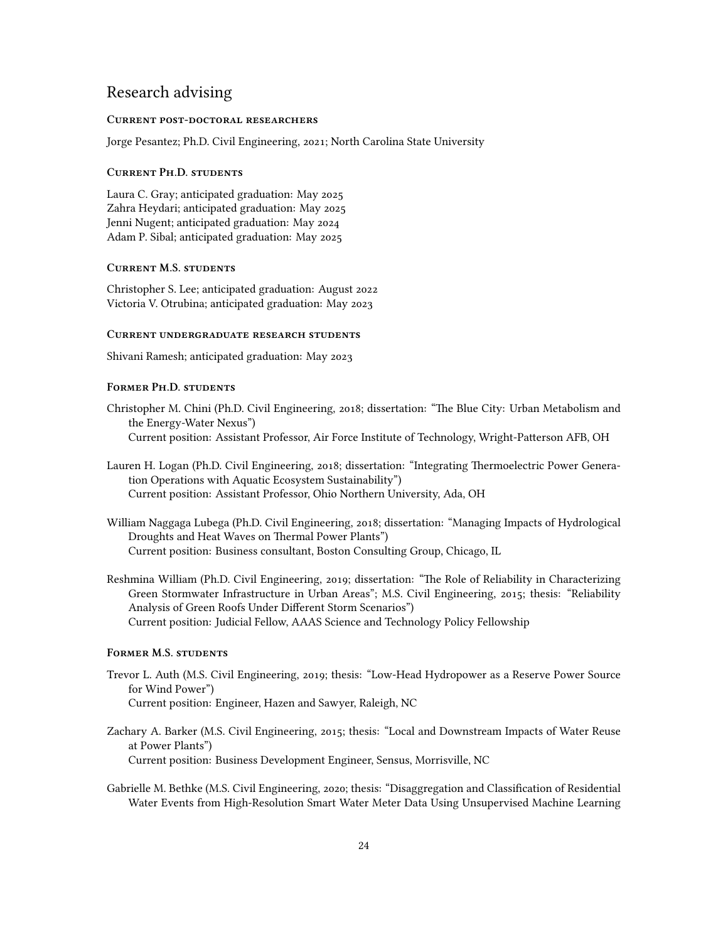# Research advising

### **CURRENT POST-DOCTORAL RESEARCHERS**

Jorge Pesantez; Ph.D. Civil Engineering, 2021; North Carolina State University

#### **CURRENT PH.D. STUDENTS**

Laura C. Gray; anticipated graduation: May Zahra Heydari; anticipated graduation: May Jenni Nugent; anticipated graduation: May Adam P. Sibal; anticipated graduation: May

### **CURRENT M.S. STUDENTS**

Christopher S. Lee; anticipated graduation: August Victoria V. Otrubina; anticipated graduation: May

### **CURRENT UNDERGRADUATE RESEARCH STUDENTS**

Shivani Ramesh; anticipated graduation: May

### **FORMER PH.D. STUDENTS**

- Christopher M. Chini (Ph.D. Civil Engineering, 2018; dissertation: "The Blue City: Urban Metabolism and the Energy-Water Nexus") Current position: Assistant Professor, Air Force Institute of Technology, Wright-Patterson AFB, OH
- Lauren H. Logan (Ph.D. Civil Engineering, 2018; dissertation: "Integrating Thermoelectric Power Generation Operations with Aquatic Ecosystem Sustainability") Current position: Assistant Professor, Ohio Northern University, Ada, OH
- William Naggaga Lubega (Ph.D. Civil Engineering, 2018; dissertation: "Managing Impacts of Hydrological Droughts and Heat Waves on Thermal Power Plants") Current position: Business consultant, Boston Consulting Group, Chicago, IL
- Reshmina William (Ph.D. Civil Engineering, 2019; dissertation: "The Role of Reliability in Characterizing Green Stormwater Infrastructure in Urban Areas"; M.S. Civil Engineering, 2015; thesis: "Reliability Analysis of Green Roofs Under Different Storm Scenarios") Current position: Judicial Fellow, AAAS Science and Technology Policy Fellowship

#### **FORMER M.S. STUDENTS**

- Trevor L. Auth (M.S. Civil Engineering, 2019; thesis: "Low-Head Hydropower as a Reserve Power Source for Wind Power") Current position: Engineer, Hazen and Sawyer, Raleigh, NC
- Zachary A. Barker (M.S. Civil Engineering, 2015; thesis: "Local and Downstream Impacts of Water Reuse at Power Plants") Current position: Business Development Engineer, Sensus, Morrisville, NC
- Gabrielle M. Bethke (M.S. Civil Engineering, 2020; thesis: "Disaggregation and Classification of Residential Water Events from High-Resolution Smart Water Meter Data Using Unsupervised Machine Learning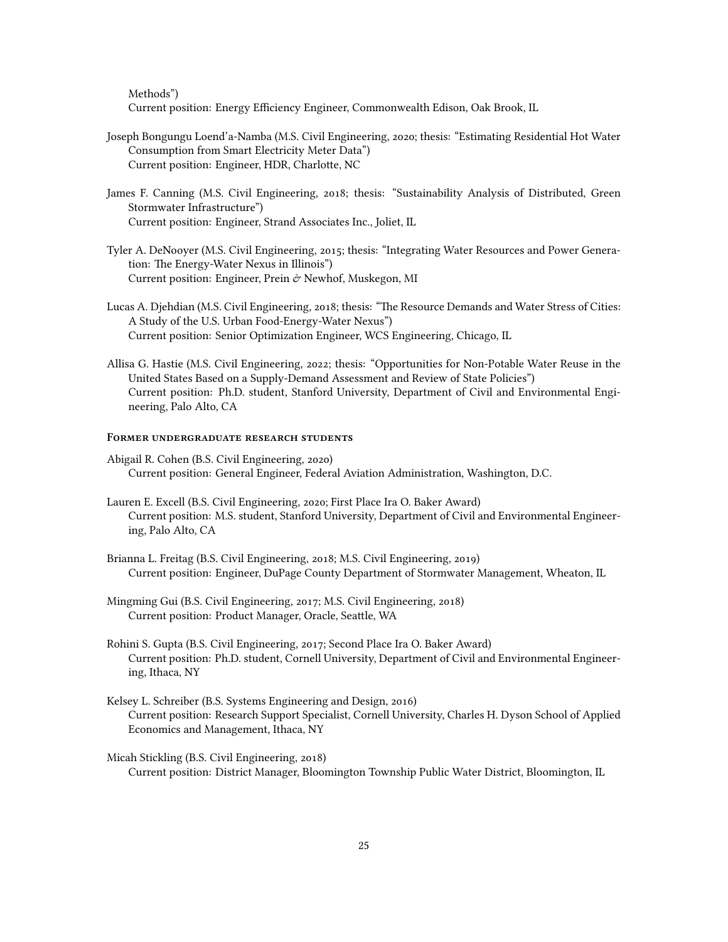Methods")

Current position: Energy Efficiency Engineer, Commonwealth Edison, Oak Brook, IL

- Joseph Bongungu Loend'a-Namba (M.S. Civil Engineering, 2020; thesis: "Estimating Residential Hot Water Consumption from Smart Electricity Meter Data") Current position: Engineer, HDR, Charlotte, NC
- James F. Canning (M.S. Civil Engineering, 2018; thesis: "Sustainability Analysis of Distributed, Green Stormwater Infrastructure") Current position: Engineer, Strand Associates Inc., Joliet, IL
- Tyler A. DeNooyer (M.S. Civil Engineering, 2015; thesis: "Integrating Water Resources and Power Generation: The Energy-Water Nexus in Illinois") Current position: Engineer, Prein & Newhof, Muskegon, MI
- Lucas A. Djehdian (M.S. Civil Engineering, 2018; thesis: "The Resource Demands and Water Stress of Cities: A Study of the U.S. Urban Food-Energy-Water Nexus") Current position: Senior Optimization Engineer, WCS Engineering, Chicago, IL
- Allisa G. Hastie (M.S. Civil Engineering, 2022; thesis: "Opportunities for Non-Potable Water Reuse in the United States Based on a Supply-Demand Assessment and Review of State Policies") Current position: Ph.D. student, Stanford University, Department of Civil and Environmental Engineering, Palo Alto, CA

### **FORMER UNDERGRADUATE RESEARCH STUDENTS**

- Abigail R. Cohen (B.S. Civil Engineering, 2020) Current position: General Engineer, Federal Aviation Administration, Washington, D.C.
- Lauren E. Excell (B.S. Civil Engineering, 2020; First Place Ira O. Baker Award) Current position: M.S. student, Stanford University, Department of Civil and Environmental Engineering, Palo Alto, CA
- Brianna L. Freitag (B.S. Civil Engineering, 2018; M.S. Civil Engineering, 2019) Current position: Engineer, DuPage County Department of Stormwater Management, Wheaton, IL
- Mingming Gui (B.S. Civil Engineering, 2017; M.S. Civil Engineering, 2018) Current position: Product Manager, Oracle, Seattle, WA
- Rohini S. Gupta (B.S. Civil Engineering, 2017; Second Place Ira O. Baker Award) Current position: Ph.D. student, Cornell University, Department of Civil and Environmental Engineering, Ithaca, NY
- Kelsey L. Schreiber (B.S. Systems Engineering and Design, 2016) Current position: Research Support Specialist, Cornell University, Charles H. Dyson School of Applied Economics and Management, Ithaca, NY
- Micah Stickling (B.S. Civil Engineering, 2018) Current position: District Manager, Bloomington Township Public Water District, Bloomington, IL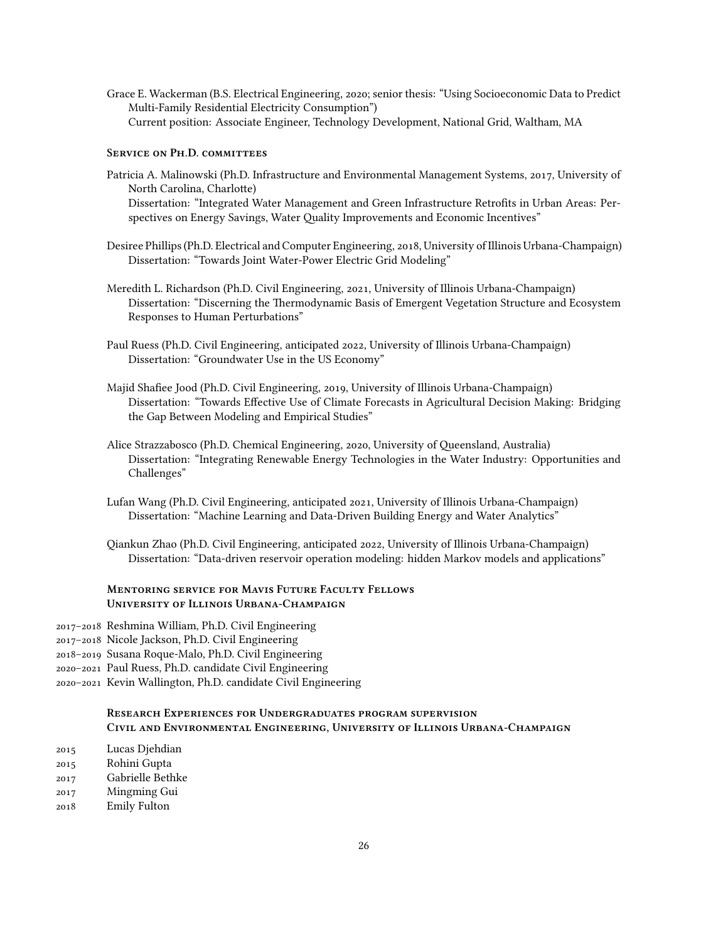Grace E. Wackerman (B.S. Electrical Engineering, 2020; senior thesis: "Using Socioeconomic Data to Predict" Multi-Family Residential Electricity Consumption") Current position: Associate Engineer, Technology Development, National Grid, Waltham, MA

#### **SERVICE ON PH.D. COMMITTEES**

- Patricia A. Malinowski (Ph.D. Infrastructure and Environmental Management Systems, 2017, University of North Carolina, Charlotte) Dissertation: "Integrated Water Management and Green Infrastructure Retrofits in Urban Areas: Perspectives on Energy Savings, Water Quality Improvements and Economic Incentives"
- Desiree Phillips (Ph.D. Electrical and Computer Engineering, 2018, University of Illinois Urbana-Champaign) Dissertation: "Towards Joint Water-Power Electric Grid Modeling"
- Meredith L. Richardson (Ph.D. Civil Engineering, 2021, University of Illinois Urbana-Champaign) Dissertation: "Discerning the Thermodynamic Basis of Emergent Vegetation Structure and Ecosystem Responses to Human Perturbations"
- Paul Ruess (Ph.D. Civil Engineering, anticipated 2022, University of Illinois Urbana-Champaign) Dissertation: "Groundwater Use in the US Economy"
- Majid Shafiee Jood (Ph.D. Civil Engineering, 2019, University of Illinois Urbana-Champaign) Dissertation: "Towards Effective Use of Climate Forecasts in Agricultural Decision Making: Bridging the Gap Between Modeling and Empirical Studies"
- Alice Strazzabosco (Ph.D. Chemical Engineering, 2020, University of Queensland, Australia) Dissertation: "Integrating Renewable Energy Technologies in the Water Industry: Opportunities and Challenges"
- Lufan Wang (Ph.D. Civil Engineering, anticipated 2021, University of Illinois Urbana-Champaign) Dissertation: "Machine Learning and Data-Driven Building Energy and Water Analytics"
- Qiankun Zhao (Ph.D. Civil Engineering, anticipated 2022, University of Illinois Urbana-Champaign) Dissertation: "Data-driven reservoir operation modeling: hidden Markov models and applications"

## **MENTORING SERVICE FOR MAVIS FUTURE FACULTY FELLOWS UNIVERSITY OF ILLINOIS URBANA-CHAMPAIGN**

- Reshmina William, Ph.D. Civil Engineering
- Nicole Jackson, Ph.D. Civil Engineering
- Susana Roque-Malo, Ph.D. Civil Engineering
- Paul Ruess, Ph.D. candidate Civil Engineering
- Kevin Wallington, Ph.D. candidate Civil Engineering

## **RESEARCH EXPERIENCES FOR UNDERGRADUATES PROGRAM SUPERVISION** CIVIL AND ENVIRONMENTAL ENGINEERING, UNIVERSITY OF ILLINOIS URBANA-CHAMPAIGN

- Lucas Djehdian
- Rohini Gupta
- Gabrielle Bethke
- Mingming Gui
- Emily Fulton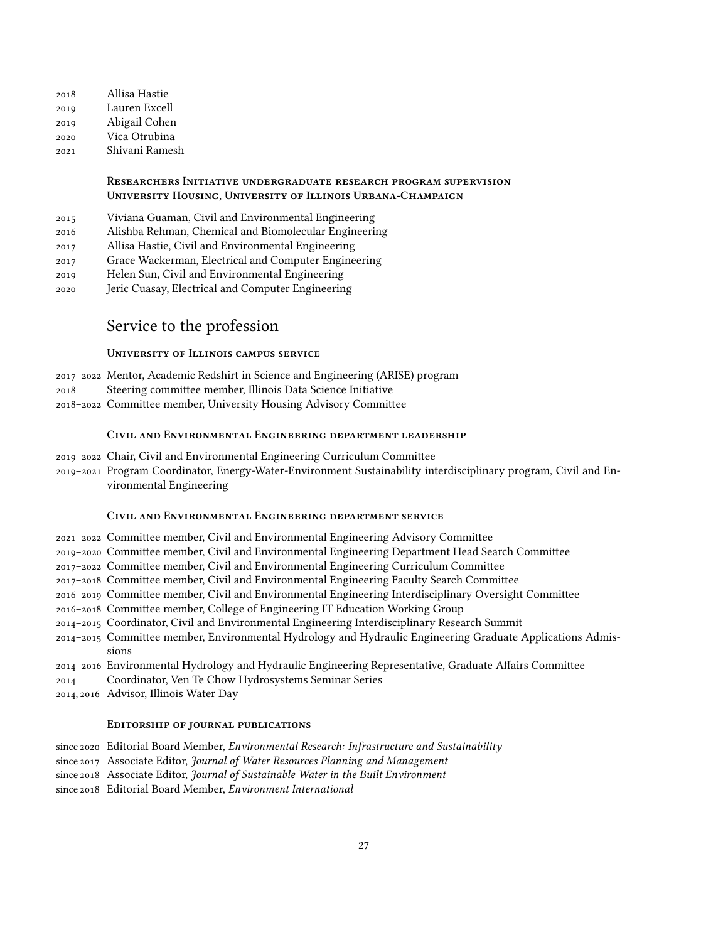Allisa Hastie Lauren Excell Abigail Cohen Vica Otrubina Shivani Ramesh

### **RESEARCHERS INITIATIVE UNDERGRADUATE RESEARCH PROGRAM SUPERVISION UNIVERSITY HOUSING, UNIVERSITY OF ILLINOIS URBANA-CHAMPAIGN**

- Viviana Guaman, Civil and Environmental Engineering
- Alishba Rehman, Chemical and Biomolecular Engineering
- Allisa Hastie, Civil and Environmental Engineering
- Grace Wackerman, Electrical and Computer Engineering
- Helen Sun, Civil and Environmental Engineering
- Jeric Cuasay, Electrical and Computer Engineering

# Service to the profession

### **UNIVERSITY OF ILLINOIS CAMPUS SERVICE**

- Mentor, Academic Redshirt in Science and Engineering (ARISE) program
- Steering committee member, Illinois Data Science Initiative
- Committee member, University Housing Advisory Committee

### **CIVIL AND ENVIRONMENTAL ENGINEERING DEPARTMENT LEADERSHIP**

- Chair, Civil and Environmental Engineering Curriculum Committee
- Program Coordinator, Energy-Water-Environment Sustainability interdisciplinary program, Civil and Environmental Engineering

### **CIVIL AND ENVIRONMENTAL ENGINEERING DEPARTMENT SERVICE**

- Committee member, Civil and Environmental Engineering Advisory Committee
- Committee member, Civil and Environmental Engineering Department Head Search Committee
- Committee member, Civil and Environmental Engineering Curriculum Committee
- Committee member, Civil and Environmental Engineering Faculty Search Committee
- Committee member, Civil and Environmental Engineering Interdisciplinary Oversight Committee
- Committee member, College of Engineering IT Education Working Group
- Coordinator, Civil and Environmental Engineering Interdisciplinary Research Summit
- Committee member, Environmental Hydrology and Hydraulic Engineering Graduate Applications Admissions
- Environmental Hydrology and Hydraulic Engineering Representative, Graduate Affairs Committee
- Coordinator, Ven Te Chow Hydrosystems Seminar Series
- 2014, 2016 Advisor, Illinois Water Day

### EDITORSHIP OF JOURNAL PUBLICATIONS

- since 2020 Editorial Board Member, *Environmental Research: Infrastructure and Sustainability*
- since 2017 Associate Editor, *Journal of Water Resources Planning and Management*
- since 2018 Associate Editor, *Journal of Sustainable Water in the Built Environment*
- since 2018 Editorial Board Member, *Environment International*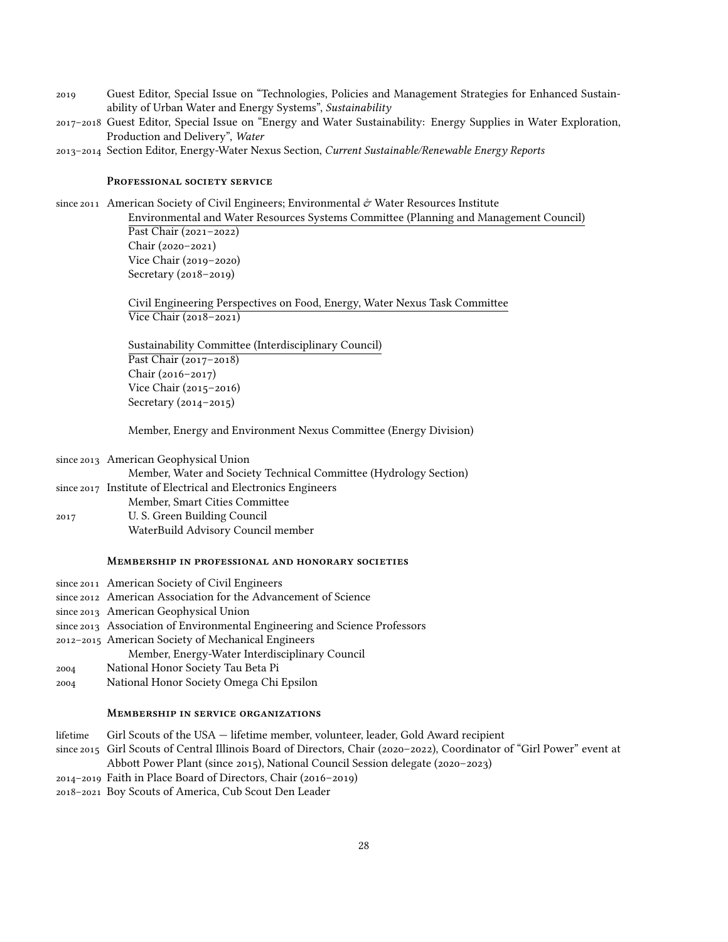- Guest Editor, Special Issue on "Technologies, Policies and Management Strategies for Enhanced Sustainability of Urban Water and Energy Systems", *Sustainability*
- Guest Editor, Special Issue on "Energy and Water Sustainability: Energy Supplies in Water Exploration, Production and Delivery", *Water*
- Section Editor, Energy-Water Nexus Section, *Current Sustainable/Renewable Energy Reports*

### PROFESSIONAL SOCIETY SERVICE

since 2011 American Society of Civil Engineers; Environmental  $\phi$  Water Resources Institute

Environmental and Water Resources Systems Committee (Planning and Management Council) Past Chair  $(2021 - 2022)$  $Chair (2020 - 2021)$ Vice Chair  $(2019-2020)$ Secretary  $(2018 - 2019)$ 

Civil Engineering Perspectives on Food, Energy, Water Nexus Task Committee Vice Chair  $(2018-2021)$ 

Sustainability Committee (Interdisciplinary Council) Past Chair  $(2017-2018)$  $Chair (2016 - 2017)$ Vice Chair  $(2015 - 2016)$ Secretary  $(2014 - 2015)$ 

Member, Energy and Environment Nexus Committee (Energy Division)

|      | since 2013 American Geophysical Union                             |
|------|-------------------------------------------------------------------|
|      | Member, Water and Society Technical Committee (Hydrology Section) |
|      | since 2017 Institute of Electrical and Electronics Engineers      |
|      | Member, Smart Cities Committee                                    |
| 2017 | U. S. Green Building Council                                      |
|      | WaterBuild Advisory Council member                                |

#### **MEMBERSHIP IN PROFESSIONAL AND HONORARY SOCIETIES**

since 2011 American Society of Civil Engineers

- since 2012 American Association for the Advancement of Science
- since 2013 American Geophysical Union

since 2013 Association of Environmental Engineering and Science Professors

- American Society of Mechanical Engineers
	- Member, Energy-Water Interdisciplinary Council
- National Honor Society Tau Beta Pi
- National Honor Society Omega Chi Epsilon

### **MEMBERSHIP IN SERVICE ORGANIZATIONS**

- lifetime Girl Scouts of the USA lifetime member, volunteer, leader, Gold Award recipient
- since 2015 Girl Scouts of Central Illinois Board of Directors, Chair (2020-2022), Coordinator of "Girl Power" event at Abbott Power Plant (since 2015), National Council Session delegate (2020-2023)
- $2014 2019$  Faith in Place Board of Directors, Chair (2016-2019)

– Boy Scouts of America, Cub Scout Den Leader